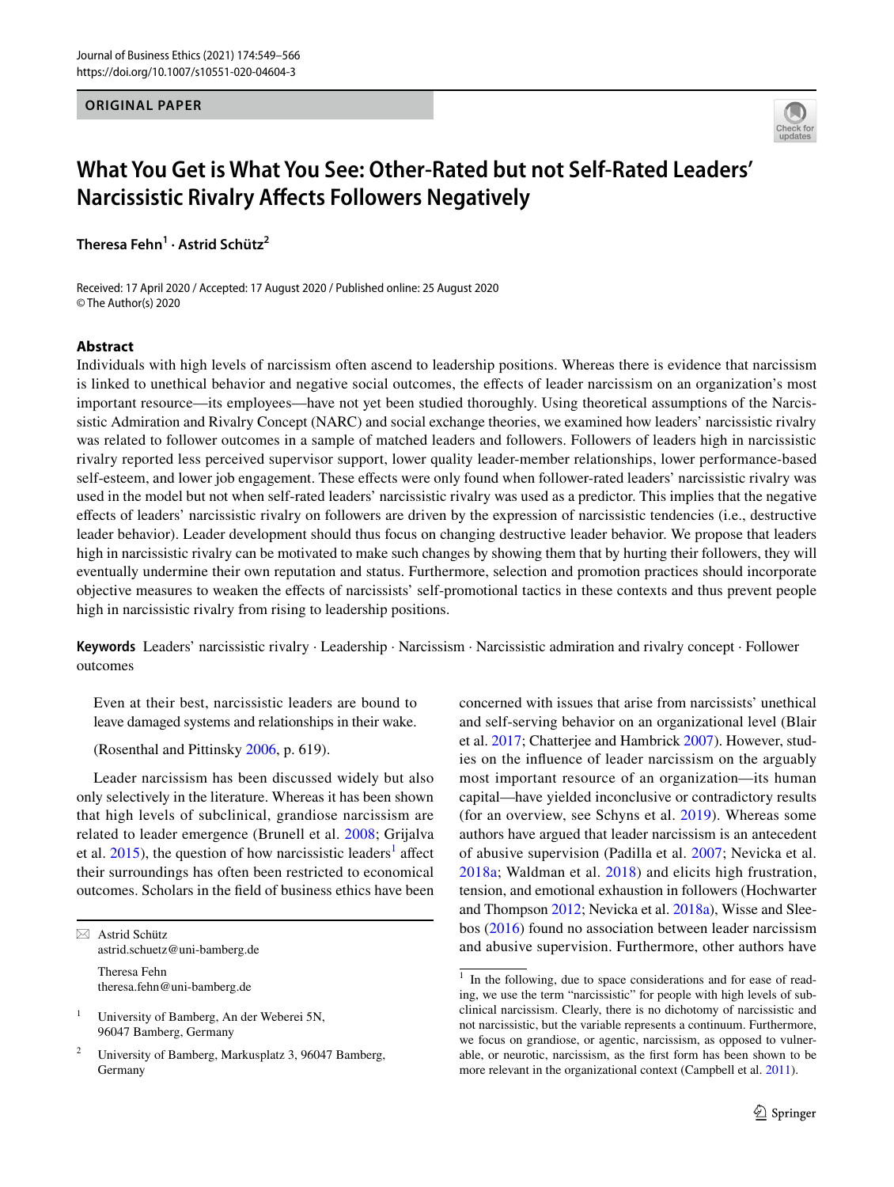# **ORIGINAL PAPER**



# **What You Get is What You See: Other‑Rated but not Self‑Rated Leaders' Narcissistic Rivalry Afects Followers Negatively**

**Theresa Fehn<sup>1</sup> · Astrid Schütz2**

Received: 17 April 2020 / Accepted: 17 August 2020 / Published online: 25 August 2020 © The Author(s) 2020

# **Abstract**

Individuals with high levels of narcissism often ascend to leadership positions. Whereas there is evidence that narcissism is linked to unethical behavior and negative social outcomes, the efects of leader narcissism on an organization's most important resource—its employees—have not yet been studied thoroughly. Using theoretical assumptions of the Narcissistic Admiration and Rivalry Concept (NARC) and social exchange theories, we examined how leaders' narcissistic rivalry was related to follower outcomes in a sample of matched leaders and followers. Followers of leaders high in narcissistic rivalry reported less perceived supervisor support, lower quality leader-member relationships, lower performance-based self-esteem, and lower job engagement. These efects were only found when follower-rated leaders' narcissistic rivalry was used in the model but not when self-rated leaders' narcissistic rivalry was used as a predictor. This implies that the negative efects of leaders' narcissistic rivalry on followers are driven by the expression of narcissistic tendencies (i.e., destructive leader behavior). Leader development should thus focus on changing destructive leader behavior. We propose that leaders high in narcissistic rivalry can be motivated to make such changes by showing them that by hurting their followers, they will eventually undermine their own reputation and status. Furthermore, selection and promotion practices should incorporate objective measures to weaken the efects of narcissists' self-promotional tactics in these contexts and thus prevent people high in narcissistic rivalry from rising to leadership positions.

**Keywords** Leaders' narcissistic rivalry · Leadership · Narcissism · Narcissistic admiration and rivalry concept · Follower outcomes

Even at their best, narcissistic leaders are bound to leave damaged systems and relationships in their wake.

(Rosenthal and Pittinsky [2006](#page-16-0), p. 619).

Leader narcissism has been discussed widely but also only selectively in the literature. Whereas it has been shown that high levels of subclinical, grandiose narcissism are related to leader emergence (Brunell et al. [2008](#page-14-0); Grijalva et al.  $2015$  $2015$  $2015$ ), the question of how narcissistic leaders<sup>1</sup> affect their surroundings has often been restricted to economical outcomes. Scholars in the feld of business ethics have been

 $\boxtimes$  Astrid Schütz astrid.schuetz@uni-bamberg.de Theresa Fehn theresa.fehn@uni-bamberg.de

<sup>1</sup> University of Bamberg, An der Weberei 5N, 96047 Bamberg, Germany

<sup>2</sup> University of Bamberg, Markusplatz 3, 96047 Bamberg, Germany

concerned with issues that arise from narcissists' unethical and self-serving behavior on an organizational level (Blair et al. [2017;](#page-13-0) Chatterjee and Hambrick [2007\)](#page-14-2). However, studies on the infuence of leader narcissism on the arguably most important resource of an organization—its human capital—have yielded inconclusive or contradictory results (for an overview, see Schyns et al. [2019](#page-16-1)). Whereas some authors have argued that leader narcissism is an antecedent of abusive supervision (Padilla et al. [2007](#page-16-2); Nevicka et al. [2018a](#page-16-3); Waldman et al. [2018](#page-17-0)) and elicits high frustration, tension, and emotional exhaustion in followers (Hochwarter and Thompson [2012](#page-15-0); Nevicka et al. [2018a\)](#page-16-3), Wisse and Sleebos [\(2016](#page-17-1)) found no association between leader narcissism and abusive supervision. Furthermore, other authors have

<span id="page-0-0"></span><sup>&</sup>lt;sup>1</sup> In the following, due to space considerations and for ease of reading, we use the term "narcissistic" for people with high levels of subclinical narcissism. Clearly, there is no dichotomy of narcissistic and not narcissistic, but the variable represents a continuum. Furthermore, we focus on grandiose, or agentic, narcissism, as opposed to vulnerable, or neurotic, narcissism, as the frst form has been shown to be more relevant in the organizational context (Campbell et al. [2011](#page-14-3)).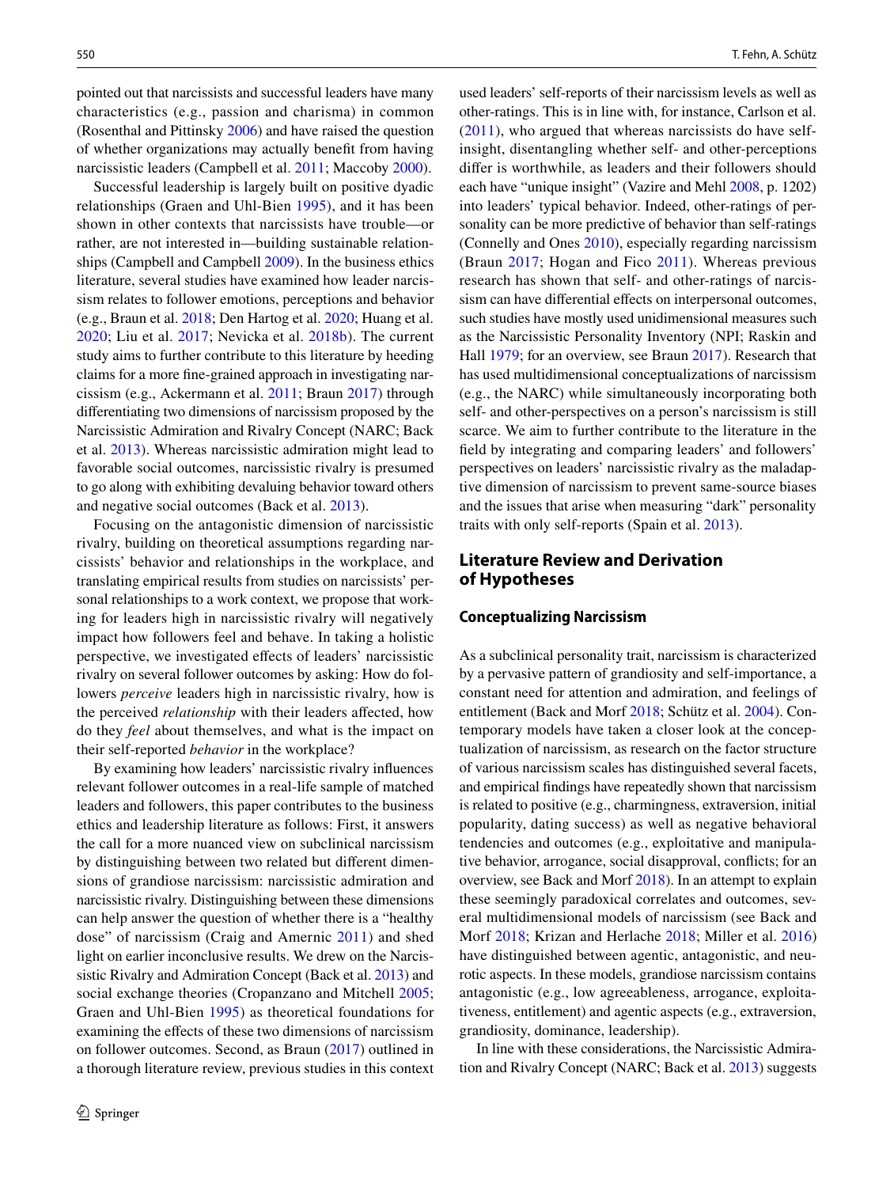pointed out that narcissists and successful leaders have many characteristics (e.g., passion and charisma) in common (Rosenthal and Pittinsky [2006](#page-16-0)) and have raised the question of whether organizations may actually beneft from having narcissistic leaders (Campbell et al. [2011;](#page-14-3) Maccoby [2000\)](#page-16-4).

Successful leadership is largely built on positive dyadic relationships (Graen and Uhl-Bien [1995\)](#page-14-4), and it has been shown in other contexts that narcissists have trouble—or rather, are not interested in—building sustainable relationships (Campbell and Campbell [2009](#page-14-5)). In the business ethics literature, several studies have examined how leader narcissism relates to follower emotions, perceptions and behavior (e.g., Braun et al. [2018](#page-13-1); Den Hartog et al. [2020](#page-14-6); Huang et al. [2020;](#page-15-1) Liu et al. [2017](#page-16-5); Nevicka et al. [2018b](#page-16-6)). The current study aims to further contribute to this literature by heeding claims for a more fne-grained approach in investigating narcissism (e.g., Ackermann et al. [2011;](#page-13-2) Braun [2017\)](#page-13-3) through diferentiating two dimensions of narcissism proposed by the Narcissistic Admiration and Rivalry Concept (NARC; Back et al. [2013\)](#page-13-4). Whereas narcissistic admiration might lead to favorable social outcomes, narcissistic rivalry is presumed to go along with exhibiting devaluing behavior toward others and negative social outcomes (Back et al. [2013](#page-13-4)).

Focusing on the antagonistic dimension of narcissistic rivalry, building on theoretical assumptions regarding narcissists' behavior and relationships in the workplace, and translating empirical results from studies on narcissists' personal relationships to a work context, we propose that working for leaders high in narcissistic rivalry will negatively impact how followers feel and behave. In taking a holistic perspective, we investigated efects of leaders' narcissistic rivalry on several follower outcomes by asking: How do followers *perceive* leaders high in narcissistic rivalry, how is the perceived *relationship* with their leaders afected, how do they *feel* about themselves, and what is the impact on their self-reported *behavior* in the workplace?

By examining how leaders' narcissistic rivalry infuences relevant follower outcomes in a real-life sample of matched leaders and followers, this paper contributes to the business ethics and leadership literature as follows: First, it answers the call for a more nuanced view on subclinical narcissism by distinguishing between two related but diferent dimensions of grandiose narcissism: narcissistic admiration and narcissistic rivalry. Distinguishing between these dimensions can help answer the question of whether there is a "healthy dose" of narcissism (Craig and Amernic [2011](#page-14-7)) and shed light on earlier inconclusive results. We drew on the Narcissistic Rivalry and Admiration Concept (Back et al. [2013](#page-13-4)) and social exchange theories (Cropanzano and Mitchell [2005](#page-14-8); Graen and Uhl-Bien [1995\)](#page-14-4) as theoretical foundations for examining the efects of these two dimensions of narcissism on follower outcomes. Second, as Braun ([2017\)](#page-13-3) outlined in a thorough literature review, previous studies in this context used leaders' self-reports of their narcissism levels as well as other-ratings. This is in line with, for instance, Carlson et al. ([2011](#page-14-9)), who argued that whereas narcissists do have selfinsight, disentangling whether self- and other-perceptions difer is worthwhile, as leaders and their followers should each have "unique insight" (Vazire and Mehl [2008](#page-17-2), p. 1202) into leaders' typical behavior. Indeed, other-ratings of personality can be more predictive of behavior than self-ratings (Connelly and Ones [2010](#page-14-10)), especially regarding narcissism (Braun [2017;](#page-13-3) Hogan and Fico [2011\)](#page-15-2). Whereas previous research has shown that self- and other-ratings of narcissism can have differential effects on interpersonal outcomes, such studies have mostly used unidimensional measures such as the Narcissistic Personality Inventory (NPI; Raskin and Hall [1979](#page-16-7); for an overview, see Braun [2017\)](#page-13-3). Research that has used multidimensional conceptualizations of narcissism (e.g., the NARC) while simultaneously incorporating both self- and other-perspectives on a person's narcissism is still scarce. We aim to further contribute to the literature in the feld by integrating and comparing leaders' and followers' perspectives on leaders' narcissistic rivalry as the maladaptive dimension of narcissism to prevent same-source biases and the issues that arise when measuring "dark" personality traits with only self-reports (Spain et al. [2013](#page-17-3)).

# **Literature Review and Derivation of Hypotheses**

## **Conceptualizing Narcissism**

As a subclinical personality trait, narcissism is characterized by a pervasive pattern of grandiosity and self-importance, a constant need for attention and admiration, and feelings of entitlement (Back and Morf [2018;](#page-13-5) Schütz et al. [2004](#page-16-8)). Contemporary models have taken a closer look at the conceptualization of narcissism, as research on the factor structure of various narcissism scales has distinguished several facets, and empirical fndings have repeatedly shown that narcissism is related to positive (e.g., charmingness, extraversion, initial popularity, dating success) as well as negative behavioral tendencies and outcomes (e.g., exploitative and manipulative behavior, arrogance, social disapproval, conficts; for an overview, see Back and Morf [2018](#page-13-5)). In an attempt to explain these seemingly paradoxical correlates and outcomes, several multidimensional models of narcissism (see Back and Morf [2018](#page-13-5); Krizan and Herlache [2018;](#page-15-3) Miller et al. [2016](#page-16-9)) have distinguished between agentic, antagonistic, and neurotic aspects. In these models, grandiose narcissism contains antagonistic (e.g., low agreeableness, arrogance, exploitativeness, entitlement) and agentic aspects (e.g., extraversion, grandiosity, dominance, leadership).

In line with these considerations, the Narcissistic Admiration and Rivalry Concept (NARC; Back et al. [2013\)](#page-13-4) suggests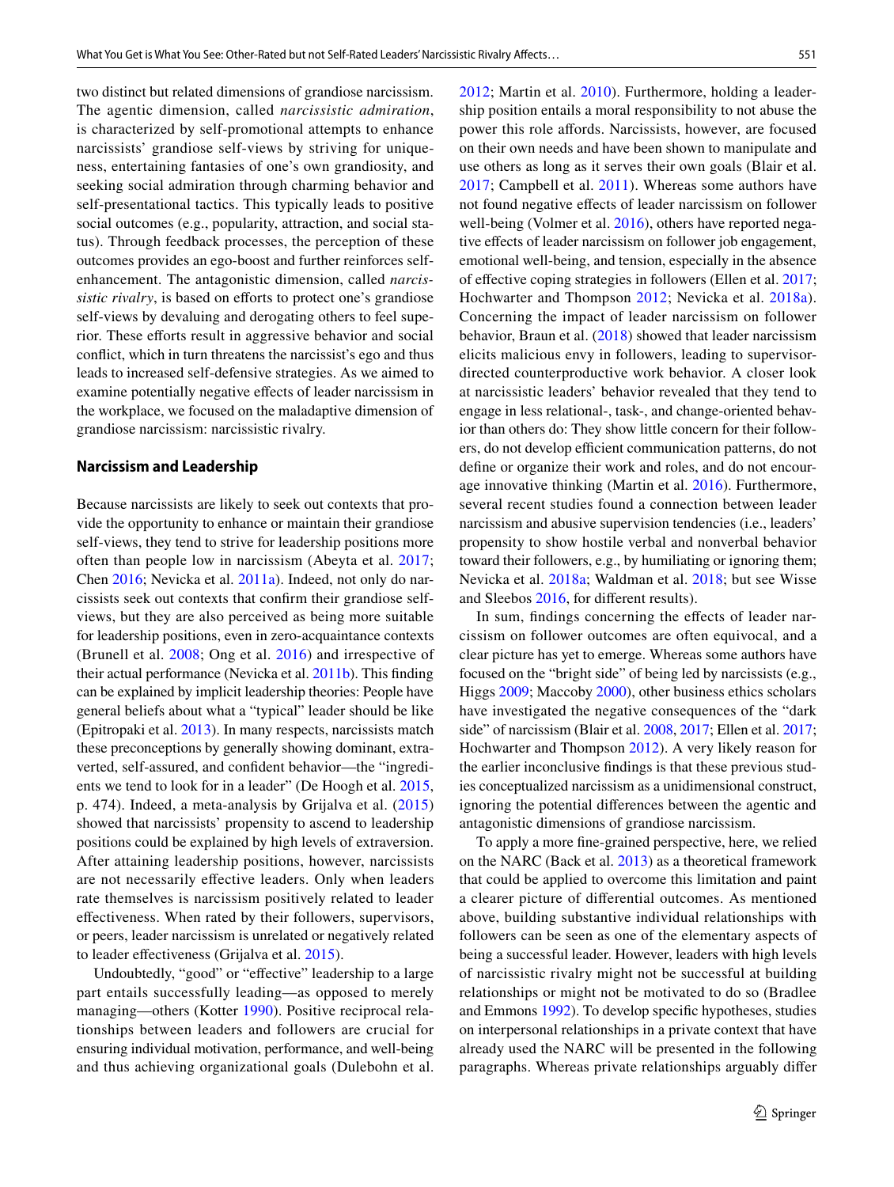two distinct but related dimensions of grandiose narcissism. The agentic dimension, called *narcissistic admiration*, is characterized by self-promotional attempts to enhance narcissists' grandiose self-views by striving for uniqueness, entertaining fantasies of one's own grandiosity, and seeking social admiration through charming behavior and self-presentational tactics. This typically leads to positive social outcomes (e.g., popularity, attraction, and social status). Through feedback processes, the perception of these outcomes provides an ego-boost and further reinforces selfenhancement. The antagonistic dimension, called *narcissistic rivalry*, is based on efforts to protect one's grandiose self-views by devaluing and derogating others to feel superior. These efforts result in aggressive behavior and social confict, which in turn threatens the narcissist's ego and thus leads to increased self-defensive strategies. As we aimed to examine potentially negative efects of leader narcissism in the workplace, we focused on the maladaptive dimension of grandiose narcissism: narcissistic rivalry.

#### **Narcissism and Leadership**

Because narcissists are likely to seek out contexts that provide the opportunity to enhance or maintain their grandiose self-views, they tend to strive for leadership positions more often than people low in narcissism (Abeyta et al. [2017](#page-13-6); Chen [2016](#page-14-11); Nevicka et al. [2011a](#page-16-10)). Indeed, not only do narcissists seek out contexts that confrm their grandiose selfviews, but they are also perceived as being more suitable for leadership positions, even in zero-acquaintance contexts (Brunell et al. [2008](#page-14-0); Ong et al. [2016\)](#page-16-11) and irrespective of their actual performance (Nevicka et al. [2011b](#page-16-12)). This fnding can be explained by implicit leadership theories: People have general beliefs about what a "typical" leader should be like (Epitropaki et al. [2013\)](#page-14-12). In many respects, narcissists match these preconceptions by generally showing dominant, extraverted, self-assured, and confdent behavior—the "ingredients we tend to look for in a leader" (De Hoogh et al. [2015,](#page-14-13) p. 474). Indeed, a meta-analysis by Grijalva et al. [\(2015\)](#page-14-1) showed that narcissists' propensity to ascend to leadership positions could be explained by high levels of extraversion. After attaining leadership positions, however, narcissists are not necessarily efective leaders. Only when leaders rate themselves is narcissism positively related to leader efectiveness. When rated by their followers, supervisors, or peers, leader narcissism is unrelated or negatively related to leader efectiveness (Grijalva et al. [2015](#page-14-1)).

Undoubtedly, "good" or "efective" leadership to a large part entails successfully leading—as opposed to merely managing—others (Kotter [1990](#page-15-4)). Positive reciprocal relationships between leaders and followers are crucial for ensuring individual motivation, performance, and well-being and thus achieving organizational goals (Dulebohn et al. [2012;](#page-14-14) Martin et al. [2010\)](#page-16-13). Furthermore, holding a leadership position entails a moral responsibility to not abuse the power this role afords. Narcissists, however, are focused on their own needs and have been shown to manipulate and use others as long as it serves their own goals (Blair et al. [2017;](#page-13-0) Campbell et al. [2011\)](#page-14-3). Whereas some authors have not found negative efects of leader narcissism on follower well-being (Volmer et al. [2016](#page-17-4)), others have reported negative efects of leader narcissism on follower job engagement, emotional well-being, and tension, especially in the absence of efective coping strategies in followers (Ellen et al. [2017](#page-14-15); Hochwarter and Thompson [2012;](#page-15-0) Nevicka et al. [2018a](#page-16-3)). Concerning the impact of leader narcissism on follower behavior, Braun et al. [\(2018](#page-13-1)) showed that leader narcissism elicits malicious envy in followers, leading to supervisordirected counterproductive work behavior. A closer look at narcissistic leaders' behavior revealed that they tend to engage in less relational-, task-, and change-oriented behavior than others do: They show little concern for their followers, do not develop efficient communication patterns, do not defne or organize their work and roles, and do not encourage innovative thinking (Martin et al. [2016\)](#page-16-14). Furthermore, several recent studies found a connection between leader narcissism and abusive supervision tendencies (i.e., leaders' propensity to show hostile verbal and nonverbal behavior toward their followers, e.g., by humiliating or ignoring them; Nevicka et al. [2018a;](#page-16-3) Waldman et al. [2018;](#page-17-0) but see Wisse and Sleebos [2016](#page-17-1), for diferent results).

In sum, fndings concerning the efects of leader narcissism on follower outcomes are often equivocal, and a clear picture has yet to emerge. Whereas some authors have focused on the "bright side" of being led by narcissists (e.g., Higgs [2009;](#page-15-5) Maccoby [2000\)](#page-16-4), other business ethics scholars have investigated the negative consequences of the "dark side" of narcissism (Blair et al. [2008,](#page-13-7) [2017;](#page-13-0) Ellen et al. [2017](#page-14-15); Hochwarter and Thompson [2012](#page-15-0)). A very likely reason for the earlier inconclusive fndings is that these previous studies conceptualized narcissism as a unidimensional construct, ignoring the potential diferences between the agentic and antagonistic dimensions of grandiose narcissism.

To apply a more fne-grained perspective, here, we relied on the NARC (Back et al. [2013\)](#page-13-4) as a theoretical framework that could be applied to overcome this limitation and paint a clearer picture of diferential outcomes. As mentioned above, building substantive individual relationships with followers can be seen as one of the elementary aspects of being a successful leader. However, leaders with high levels of narcissistic rivalry might not be successful at building relationships or might not be motivated to do so (Bradlee and Emmons [1992\)](#page-13-8). To develop specifc hypotheses, studies on interpersonal relationships in a private context that have already used the NARC will be presented in the following paragraphs. Whereas private relationships arguably difer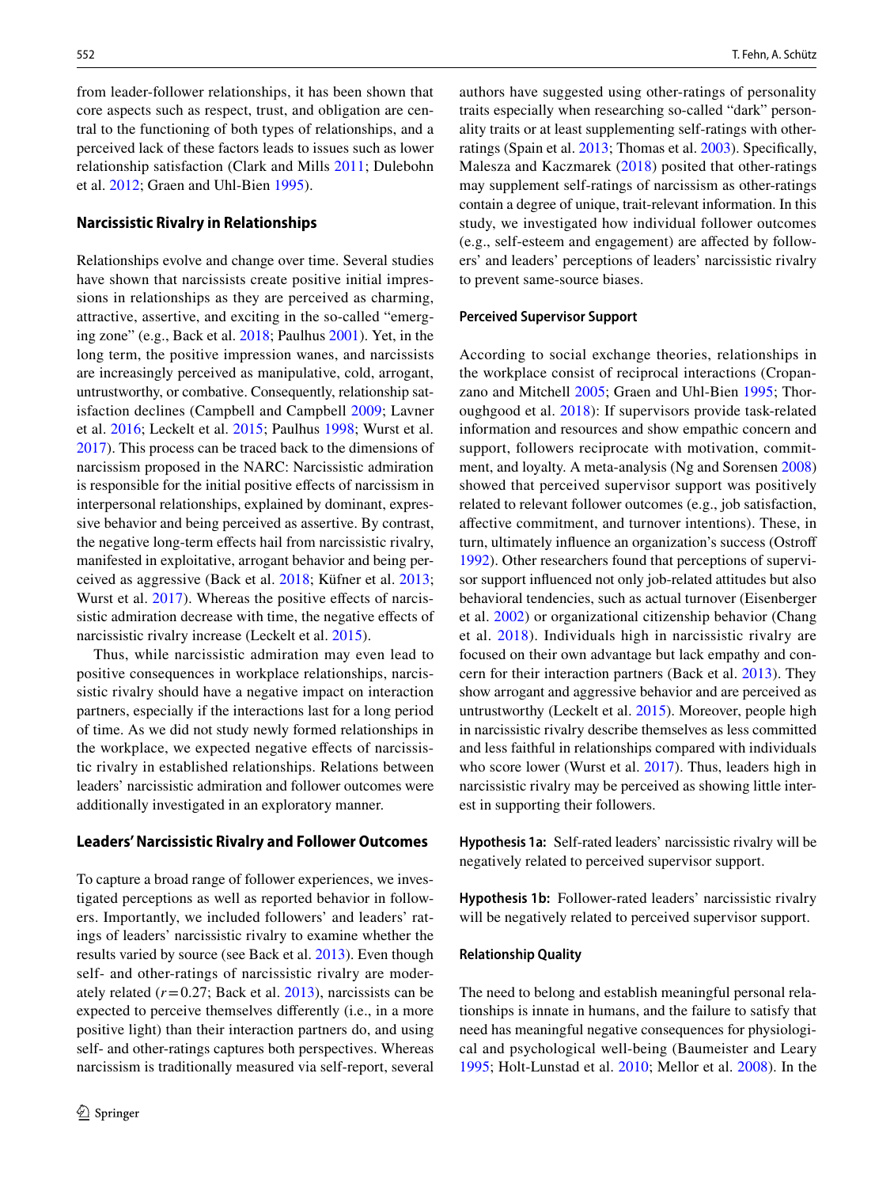from leader-follower relationships, it has been shown that core aspects such as respect, trust, and obligation are central to the functioning of both types of relationships, and a perceived lack of these factors leads to issues such as lower relationship satisfaction (Clark and Mills [2011](#page-14-16); Dulebohn et al. [2012](#page-14-14); Graen and Uhl-Bien [1995\)](#page-14-4).

### **Narcissistic Rivalry in Relationships**

Relationships evolve and change over time. Several studies have shown that narcissists create positive initial impressions in relationships as they are perceived as charming, attractive, assertive, and exciting in the so-called "emerging zone" (e.g., Back et al. [2018;](#page-13-9) Paulhus [2001\)](#page-16-15). Yet, in the long term, the positive impression wanes, and narcissists are increasingly perceived as manipulative, cold, arrogant, untrustworthy, or combative. Consequently, relationship satisfaction declines (Campbell and Campbell [2009](#page-14-5); Lavner et al. [2016](#page-15-6); Leckelt et al. [2015;](#page-15-7) Paulhus [1998](#page-16-16); Wurst et al. [2017](#page-17-5)). This process can be traced back to the dimensions of narcissism proposed in the NARC: Narcissistic admiration is responsible for the initial positive efects of narcissism in interpersonal relationships, explained by dominant, expressive behavior and being perceived as assertive. By contrast, the negative long-term efects hail from narcissistic rivalry, manifested in exploitative, arrogant behavior and being perceived as aggressive (Back et al. [2018](#page-13-9); Küfner et al. [2013](#page-15-8); Wurst et al. [2017](#page-17-5)). Whereas the positive effects of narcissistic admiration decrease with time, the negative efects of narcissistic rivalry increase (Leckelt et al. [2015\)](#page-15-7).

Thus, while narcissistic admiration may even lead to positive consequences in workplace relationships, narcissistic rivalry should have a negative impact on interaction partners, especially if the interactions last for a long period of time. As we did not study newly formed relationships in the workplace, we expected negative efects of narcissistic rivalry in established relationships. Relations between leaders' narcissistic admiration and follower outcomes were additionally investigated in an exploratory manner.

#### **Leaders' Narcissistic Rivalry and Follower Outcomes**

To capture a broad range of follower experiences, we investigated perceptions as well as reported behavior in followers. Importantly, we included followers' and leaders' ratings of leaders' narcissistic rivalry to examine whether the results varied by source (see Back et al. [2013](#page-13-4)). Even though self- and other-ratings of narcissistic rivalry are moderately related  $(r=0.27;$  Back et al.  $2013$ ), narcissists can be expected to perceive themselves diferently (i.e., in a more positive light) than their interaction partners do, and using self- and other-ratings captures both perspectives. Whereas narcissism is traditionally measured via self-report, several authors have suggested using other-ratings of personality traits especially when researching so-called "dark" personality traits or at least supplementing self-ratings with otherratings (Spain et al. [2013;](#page-17-3) Thomas et al. [2003](#page-17-6)). Specifcally, Malesza and Kaczmarek ([2018](#page-16-17)) posited that other-ratings may supplement self-ratings of narcissism as other-ratings contain a degree of unique, trait-relevant information. In this study, we investigated how individual follower outcomes (e.g., self-esteem and engagement) are afected by followers' and leaders' perceptions of leaders' narcissistic rivalry to prevent same-source biases.

#### **Perceived Supervisor Support**

According to social exchange theories, relationships in the workplace consist of reciprocal interactions (Cropanzano and Mitchell [2005](#page-14-8); Graen and Uhl-Bien [1995;](#page-14-4) Thoroughgood et al. [2018\)](#page-17-7): If supervisors provide task-related information and resources and show empathic concern and support, followers reciprocate with motivation, commitment, and loyalty. A meta-analysis (Ng and Sorensen [2008](#page-16-18)) showed that perceived supervisor support was positively related to relevant follower outcomes (e.g., job satisfaction, afective commitment, and turnover intentions). These, in turn, ultimately infuence an organization's success (Ostrof [1992](#page-16-19)). Other researchers found that perceptions of supervisor support infuenced not only job-related attitudes but also behavioral tendencies, such as actual turnover (Eisenberger et al. [2002\)](#page-14-17) or organizational citizenship behavior (Chang et al. [2018\)](#page-14-18). Individuals high in narcissistic rivalry are focused on their own advantage but lack empathy and concern for their interaction partners (Back et al. [2013\)](#page-13-4). They show arrogant and aggressive behavior and are perceived as untrustworthy (Leckelt et al. [2015\)](#page-15-7). Moreover, people high in narcissistic rivalry describe themselves as less committed and less faithful in relationships compared with individuals who score lower (Wurst et al. [2017\)](#page-17-5). Thus, leaders high in narcissistic rivalry may be perceived as showing little interest in supporting their followers.

**Hypothesis 1a:** Self-rated leaders' narcissistic rivalry will be negatively related to perceived supervisor support.

**Hypothesis 1b:** Follower-rated leaders' narcissistic rivalry will be negatively related to perceived supervisor support.

#### **Relationship Quality**

The need to belong and establish meaningful personal relationships is innate in humans, and the failure to satisfy that need has meaningful negative consequences for physiological and psychological well-being (Baumeister and Leary [1995](#page-13-10); Holt-Lunstad et al. [2010](#page-15-9); Mellor et al. [2008\)](#page-16-20). In the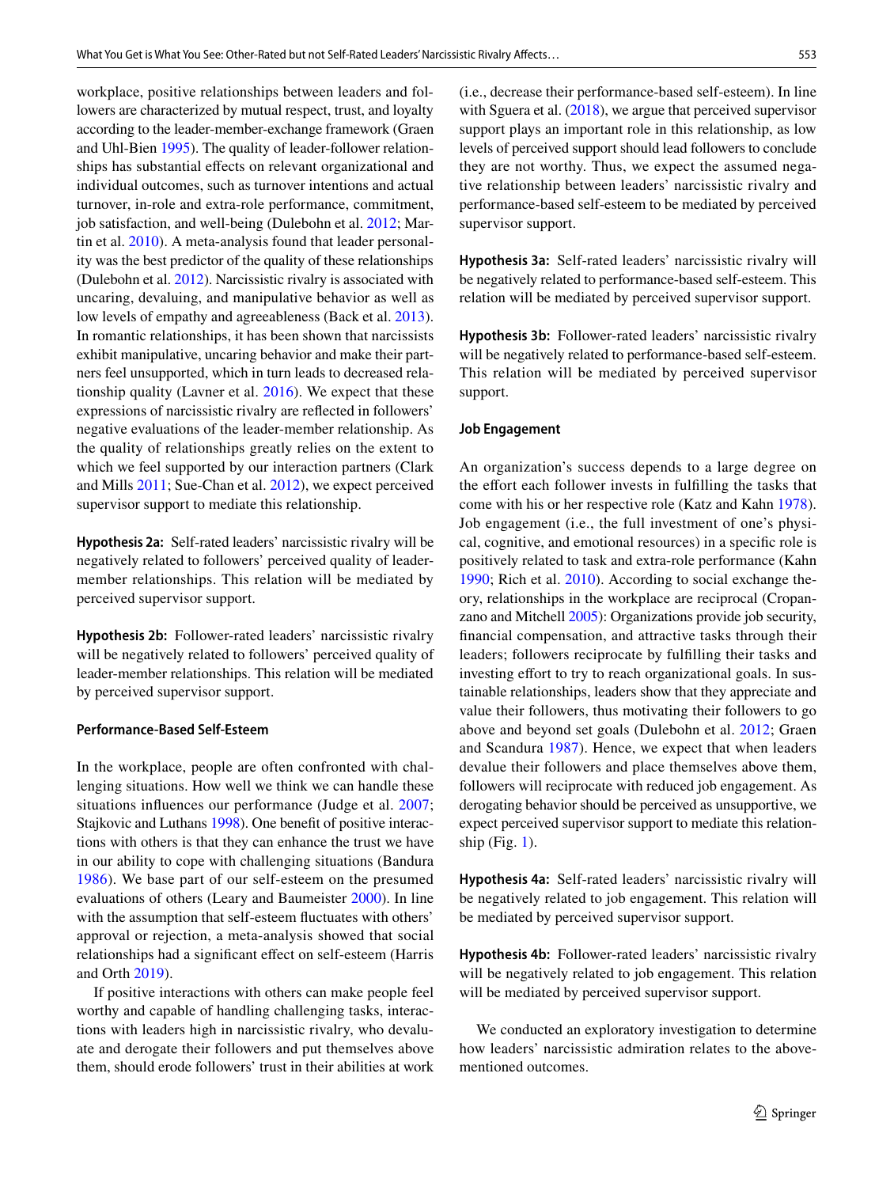workplace, positive relationships between leaders and followers are characterized by mutual respect, trust, and loyalty according to the leader-member-exchange framework (Graen and Uhl-Bien [1995\)](#page-14-4). The quality of leader-follower relationships has substantial efects on relevant organizational and individual outcomes, such as turnover intentions and actual turnover, in-role and extra-role performance, commitment, job satisfaction, and well-being (Dulebohn et al. [2012](#page-14-14); Martin et al. [2010\)](#page-16-13). A meta-analysis found that leader personality was the best predictor of the quality of these relationships (Dulebohn et al. [2012\)](#page-14-14). Narcissistic rivalry is associated with uncaring, devaluing, and manipulative behavior as well as low levels of empathy and agreeableness (Back et al. [2013](#page-13-4)). In romantic relationships, it has been shown that narcissists exhibit manipulative, uncaring behavior and make their partners feel unsupported, which in turn leads to decreased relationship quality (Lavner et al. [2016\)](#page-15-6). We expect that these expressions of narcissistic rivalry are refected in followers' negative evaluations of the leader-member relationship. As the quality of relationships greatly relies on the extent to which we feel supported by our interaction partners (Clark and Mills [2011](#page-14-16); Sue-Chan et al. [2012](#page-17-8)), we expect perceived supervisor support to mediate this relationship.

**Hypothesis 2a:** Self-rated leaders' narcissistic rivalry will be negatively related to followers' perceived quality of leadermember relationships. This relation will be mediated by perceived supervisor support.

**Hypothesis 2b:** Follower-rated leaders' narcissistic rivalry will be negatively related to followers' perceived quality of leader-member relationships. This relation will be mediated by perceived supervisor support.

## **Performance‑Based Self‑Esteem**

In the workplace, people are often confronted with challenging situations. How well we think we can handle these situations infuences our performance (Judge et al. [2007](#page-15-10); Stajkovic and Luthans [1998](#page-17-9)). One beneft of positive interactions with others is that they can enhance the trust we have in our ability to cope with challenging situations (Bandura [1986\)](#page-13-11). We base part of our self-esteem on the presumed evaluations of others (Leary and Baumeister [2000](#page-15-11)). In line with the assumption that self-esteem fuctuates with others' approval or rejection, a meta-analysis showed that social relationships had a signifcant efect on self-esteem (Harris and Orth [2019\)](#page-15-12).

If positive interactions with others can make people feel worthy and capable of handling challenging tasks, interactions with leaders high in narcissistic rivalry, who devaluate and derogate their followers and put themselves above them, should erode followers' trust in their abilities at work

(i.e., decrease their performance-based self-esteem). In line with Sguera et al. ([2018\)](#page-17-10), we argue that perceived supervisor support plays an important role in this relationship, as low levels of perceived support should lead followers to conclude they are not worthy. Thus, we expect the assumed negative relationship between leaders' narcissistic rivalry and performance-based self-esteem to be mediated by perceived supervisor support.

**Hypothesis 3a:** Self-rated leaders' narcissistic rivalry will be negatively related to performance-based self-esteem. This relation will be mediated by perceived supervisor support.

**Hypothesis 3b:** Follower-rated leaders' narcissistic rivalry will be negatively related to performance-based self-esteem. This relation will be mediated by perceived supervisor support.

#### **Job Engagement**

An organization's success depends to a large degree on the effort each follower invests in fulfilling the tasks that come with his or her respective role (Katz and Kahn [1978](#page-15-13)). Job engagement (i.e., the full investment of one's physical, cognitive, and emotional resources) in a specifc role is positively related to task and extra-role performance (Kahn [1990](#page-15-14); Rich et al. [2010\)](#page-16-21). According to social exchange theory, relationships in the workplace are reciprocal (Cropanzano and Mitchell [2005\)](#page-14-8): Organizations provide job security, fnancial compensation, and attractive tasks through their leaders; followers reciprocate by fulflling their tasks and investing effort to try to reach organizational goals. In sustainable relationships, leaders show that they appreciate and value their followers, thus motivating their followers to go above and beyond set goals (Dulebohn et al. [2012](#page-14-14); Graen and Scandura [1987\)](#page-14-19). Hence, we expect that when leaders devalue their followers and place themselves above them, followers will reciprocate with reduced job engagement. As derogating behavior should be perceived as unsupportive, we expect perceived supervisor support to mediate this relationship (Fig.  $1$ ).

**Hypothesis 4a:** Self-rated leaders' narcissistic rivalry will be negatively related to job engagement. This relation will be mediated by perceived supervisor support.

**Hypothesis 4b:** Follower-rated leaders' narcissistic rivalry will be negatively related to job engagement. This relation will be mediated by perceived supervisor support.

We conducted an exploratory investigation to determine how leaders' narcissistic admiration relates to the abovementioned outcomes.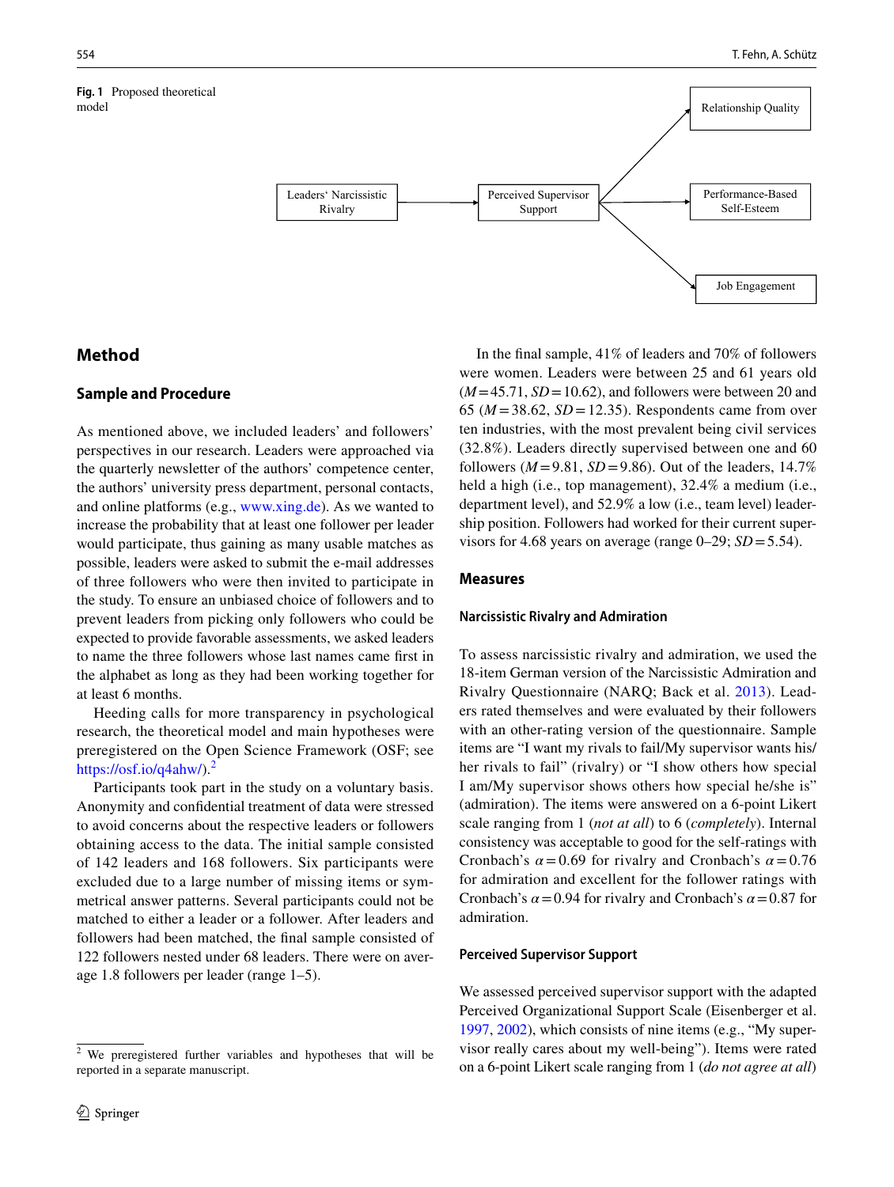<span id="page-5-0"></span>**Fig. 1** Proposed theoretical model



# **Method**

# **Sample and Procedure**

As mentioned above, we included leaders' and followers' perspectives in our research. Leaders were approached via the quarterly newsletter of the authors' competence center, the authors' university press department, personal contacts, and online platforms (e.g., [www.xing.de\)](http://www.xing.de). As we wanted to increase the probability that at least one follower per leader would participate, thus gaining as many usable matches as possible, leaders were asked to submit the e-mail addresses of three followers who were then invited to participate in the study. To ensure an unbiased choice of followers and to prevent leaders from picking only followers who could be expected to provide favorable assessments, we asked leaders to name the three followers whose last names came frst in the alphabet as long as they had been working together for at least 6 months.

Heeding calls for more transparency in psychological research, the theoretical model and main hypotheses were preregistered on the Open Science Framework (OSF; see [https://osf.io/q4ahw/\)](https://osf.io/q4ahw/).<sup>[2](#page-5-1)</sup>

Participants took part in the study on a voluntary basis. Anonymity and confdential treatment of data were stressed to avoid concerns about the respective leaders or followers obtaining access to the data. The initial sample consisted of 142 leaders and 168 followers. Six participants were excluded due to a large number of missing items or symmetrical answer patterns. Several participants could not be matched to either a leader or a follower. After leaders and followers had been matched, the fnal sample consisted of 122 followers nested under 68 leaders. There were on average 1.8 followers per leader (range 1–5).

In the fnal sample, 41% of leaders and 70% of followers were women. Leaders were between 25 and 61 years old  $(M=45.71, SD=10.62)$ , and followers were between 20 and 65 ( $M = 38.62$ ,  $SD = 12.35$ ). Respondents came from over ten industries, with the most prevalent being civil services (32.8%). Leaders directly supervised between one and 60 followers ( $M = 9.81$ ,  $SD = 9.86$ ). Out of the leaders, 14.7% held a high (i.e., top management), 32.4% a medium (i.e., department level), and 52.9% a low (i.e., team level) leadership position. Followers had worked for their current supervisors for 4.68 years on average (range  $0-29$ ;  $SD = 5.54$ ).

### **Measures**

#### **Narcissistic Rivalry and Admiration**

To assess narcissistic rivalry and admiration, we used the 18-item German version of the Narcissistic Admiration and Rivalry Questionnaire (NARQ; Back et al. [2013\)](#page-13-4). Leaders rated themselves and were evaluated by their followers with an other-rating version of the questionnaire. Sample items are "I want my rivals to fail/My supervisor wants his/ her rivals to fail" (rivalry) or "I show others how special I am/My supervisor shows others how special he/she is" (admiration). The items were answered on a 6-point Likert scale ranging from 1 (*not at all*) to 6 (*completely*). Internal consistency was acceptable to good for the self-ratings with Cronbach's  $\alpha$  = 0.69 for rivalry and Cronbach's  $\alpha$  = 0.76 for admiration and excellent for the follower ratings with Cronbach's  $\alpha$  = 0.94 for rivalry and Cronbach's  $\alpha$  = 0.87 for admiration.

#### **Perceived Supervisor Support**

We assessed perceived supervisor support with the adapted Perceived Organizational Support Scale (Eisenberger et al. [1997](#page-14-20), [2002](#page-14-17)), which consists of nine items (e.g., "My supervisor really cares about my well-being"). Items were rated on a 6-point Likert scale ranging from 1 (*do not agree at all*)

<span id="page-5-1"></span><sup>2</sup> We preregistered further variables and hypotheses that will be reported in a separate manuscript.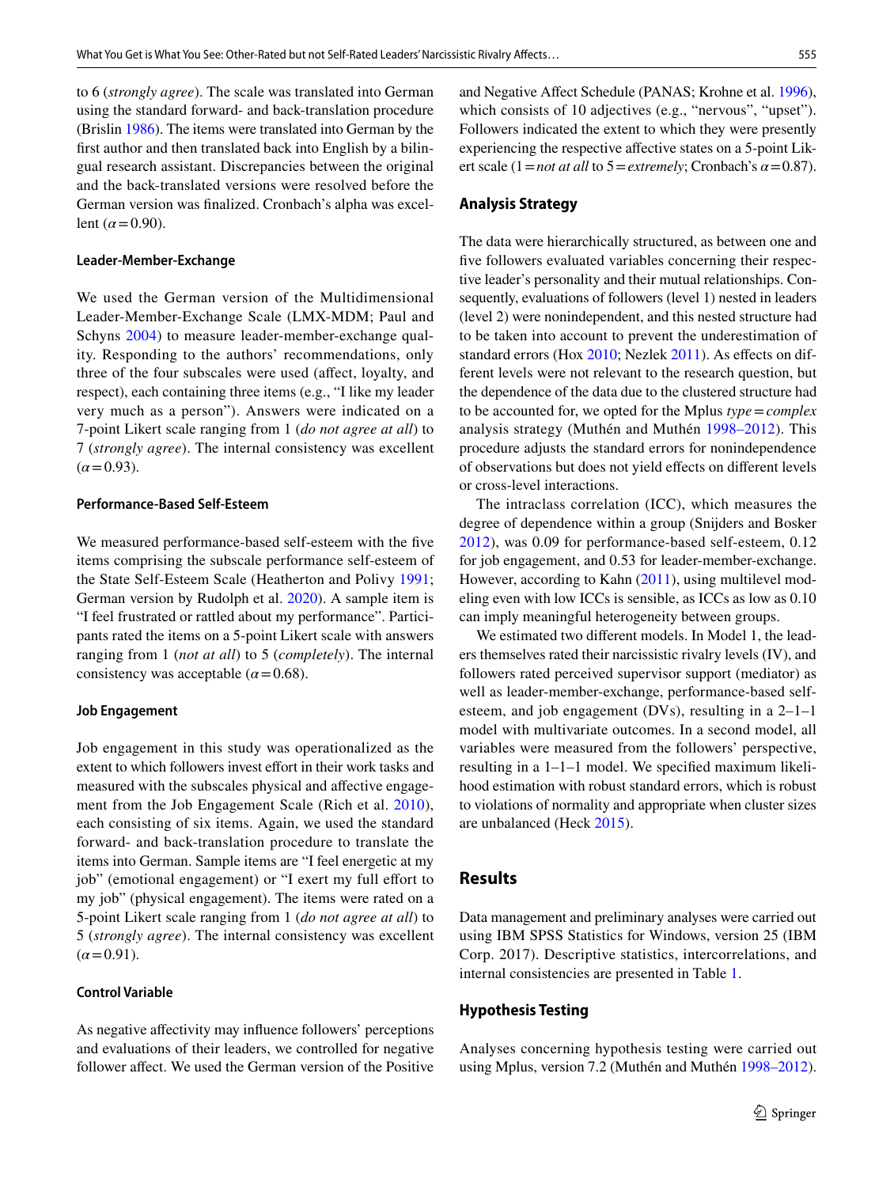to 6 (*strongly agree*). The scale was translated into German using the standard forward- and back-translation procedure (Brislin [1986](#page-13-12)). The items were translated into German by the frst author and then translated back into English by a bilingual research assistant. Discrepancies between the original and the back-translated versions were resolved before the German version was fnalized. Cronbach's alpha was excellent  $(\alpha = 0.90)$ .

#### **Leader‑Member‑Exchange**

We used the German version of the Multidimensional Leader-Member-Exchange Scale (LMX-MDM; Paul and Schyns [2004\)](#page-16-22) to measure leader-member-exchange quality. Responding to the authors' recommendations, only three of the four subscales were used (afect, loyalty, and respect), each containing three items (e.g., "I like my leader very much as a person"). Answers were indicated on a 7-point Likert scale ranging from 1 (*do not agree at all*) to 7 (*strongly agree*). The internal consistency was excellent  $(\alpha = 0.93)$ .

#### **Performance‑Based Self‑Esteem**

We measured performance-based self-esteem with the five items comprising the subscale performance self-esteem of the State Self-Esteem Scale (Heatherton and Polivy [1991](#page-15-15); German version by Rudolph et al. [2020\)](#page-16-23). A sample item is "I feel frustrated or rattled about my performance". Participants rated the items on a 5-point Likert scale with answers ranging from 1 (*not at all*) to 5 (*completely*). The internal consistency was acceptable ( $\alpha$ =0.68).

#### **Job Engagement**

Job engagement in this study was operationalized as the extent to which followers invest effort in their work tasks and measured with the subscales physical and afective engagement from the Job Engagement Scale (Rich et al. [2010](#page-16-21)), each consisting of six items. Again, we used the standard forward- and back-translation procedure to translate the items into German. Sample items are "I feel energetic at my job" (emotional engagement) or "I exert my full effort to my job" (physical engagement). The items were rated on a 5-point Likert scale ranging from 1 (*do not agree at all*) to 5 (*strongly agree*). The internal consistency was excellent  $(\alpha = 0.91)$ .

# **Control Variable**

As negative afectivity may infuence followers' perceptions and evaluations of their leaders, we controlled for negative follower affect. We used the German version of the Positive and Negative Afect Schedule (PANAS; Krohne et al. [1996](#page-15-16)), which consists of 10 adjectives (e.g., "nervous", "upset"). Followers indicated the extent to which they were presently experiencing the respective afective states on a 5-point Likert scale (1=*not at all* to 5=*extremely*; Cronbach's *α*=0.87).

#### **Analysis Strategy**

The data were hierarchically structured, as between one and five followers evaluated variables concerning their respective leader's personality and their mutual relationships. Consequently, evaluations of followers (level 1) nested in leaders (level 2) were nonindependent, and this nested structure had to be taken into account to prevent the underestimation of standard errors (Hox [2010](#page-15-17); Nezlek [2011](#page-16-24)). As effects on different levels were not relevant to the research question, but the dependence of the data due to the clustered structure had to be accounted for, we opted for the Mplus *type*=*complex* analysis strategy (Muthén and Muthén [1998–2012\)](#page-16-25). This procedure adjusts the standard errors for nonindependence of observations but does not yield efects on diferent levels or cross-level interactions.

The intraclass correlation (ICC), which measures the degree of dependence within a group (Snijders and Bosker [2012\)](#page-17-11), was 0.09 for performance-based self-esteem, 0.12 for job engagement, and 0.53 for leader-member-exchange. However, according to Kahn [\(2011](#page-15-18)), using multilevel modeling even with low ICCs is sensible, as ICCs as low as 0.10 can imply meaningful heterogeneity between groups.

We estimated two diferent models. In Model 1, the leaders themselves rated their narcissistic rivalry levels (IV), and followers rated perceived supervisor support (mediator) as well as leader-member-exchange, performance-based selfesteem, and job engagement (DVs), resulting in a 2–1–1 model with multivariate outcomes. In a second model, all variables were measured from the followers' perspective, resulting in a 1–1–1 model. We specifed maximum likelihood estimation with robust standard errors, which is robust to violations of normality and appropriate when cluster sizes are unbalanced (Heck [2015](#page-15-19)).

# **Results**

Data management and preliminary analyses were carried out using IBM SPSS Statistics for Windows, version 25 (IBM Corp. 2017). Descriptive statistics, intercorrelations, and internal consistencies are presented in Table [1.](#page-7-0)

#### **Hypothesis Testing**

Analyses concerning hypothesis testing were carried out using Mplus, version 7.2 (Muthén and Muthén [1998–2012](#page-16-25)).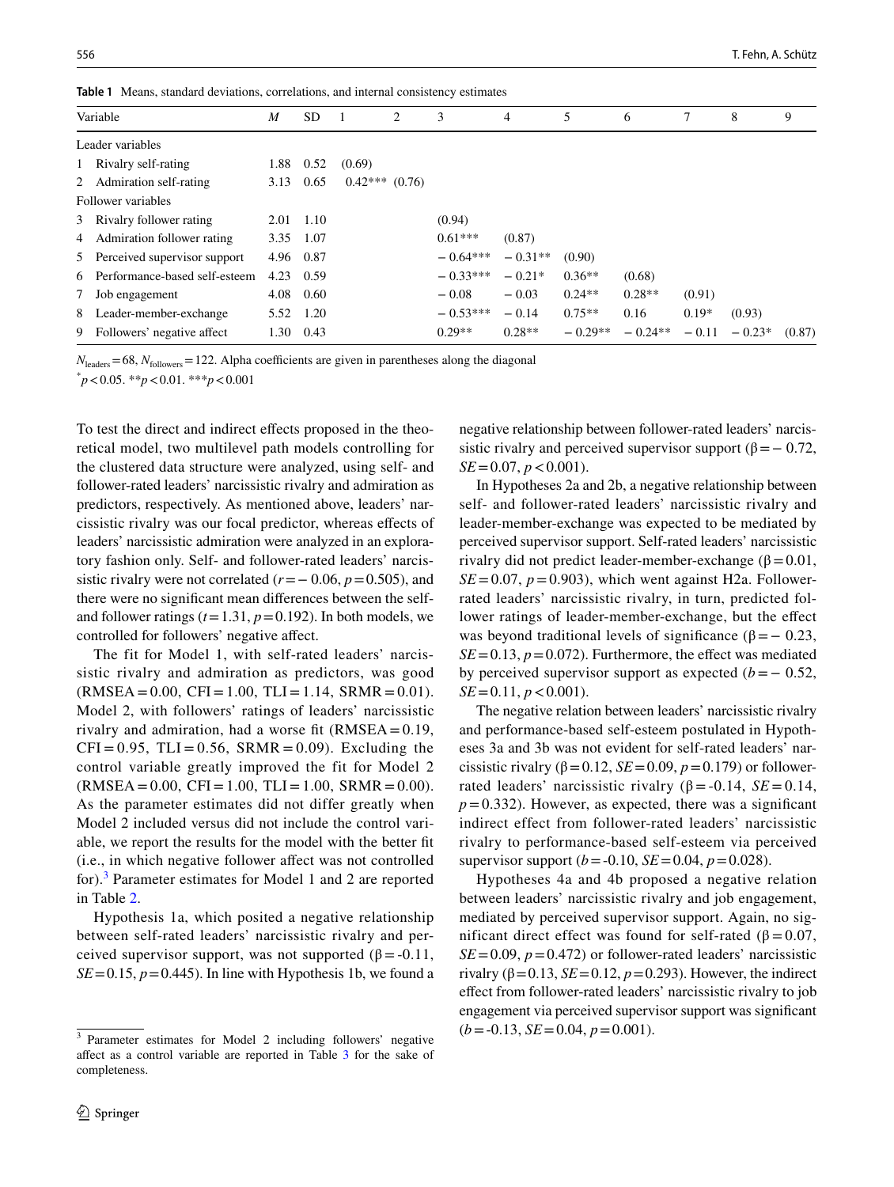<span id="page-7-0"></span>**Table 1** Means, standard deviations, correlations, and internal consistency estimates

| Variable                        | M    | <b>SD</b> |                  | 2 | 3          | 4         | 5         | 6         |         | 8        | 9      |
|---------------------------------|------|-----------|------------------|---|------------|-----------|-----------|-----------|---------|----------|--------|
| Leader variables                |      |           |                  |   |            |           |           |           |         |          |        |
| 1 Rivalry self-rating           | 1.88 | 0.52      | (0.69)           |   |            |           |           |           |         |          |        |
| 2 Admiration self-rating        | 3.13 | 0.65      | $0.42***$ (0.76) |   |            |           |           |           |         |          |        |
| Follower variables              |      |           |                  |   |            |           |           |           |         |          |        |
| 3 Rivalry follower rating       | 2.01 | 1.10      |                  |   | (0.94)     |           |           |           |         |          |        |
| 4 Admiration follower rating    | 3.35 | 1.07      |                  |   | $0.61***$  | (0.87)    |           |           |         |          |        |
| 5 Perceived supervisor support  | 4.96 | 0.87      |                  |   | $-0.64***$ | $-0.31**$ | (0.90)    |           |         |          |        |
| 6 Performance-based self-esteem | 4.23 | 0.59      |                  |   | $-0.33***$ | $-0.21*$  | $0.36**$  | (0.68)    |         |          |        |
| 7 Job engagement                | 4.08 | 0.60      |                  |   | $-0.08$    | $-0.03$   | $0.24**$  | $0.28**$  | (0.91)  |          |        |
| 8 Leader-member-exchange        | 5.52 | 1.20      |                  |   | $-0.53***$ | $-0.14$   | $0.75**$  | 0.16      | $0.19*$ | (0.93)   |        |
| 9 Followers' negative affect    | 1.30 | 0.43      |                  |   | $0.29**$   | $0.28**$  | $-0.29**$ | $-0.24**$ | $-0.11$ | $-0.23*$ | (0.87) |

 $N_{\text{leads}} = 68$ ,  $N_{\text{followers}} = 122$ . Alpha coefficients are given in parentheses along the diagonal

\* *p*<0.05. \*\**p*<0.01. \*\*\**p*<0.001

To test the direct and indirect efects proposed in the theoretical model, two multilevel path models controlling for the clustered data structure were analyzed, using self- and follower-rated leaders' narcissistic rivalry and admiration as predictors, respectively. As mentioned above, leaders' narcissistic rivalry was our focal predictor, whereas efects of leaders' narcissistic admiration were analyzed in an exploratory fashion only. Self- and follower-rated leaders' narcissistic rivalry were not correlated  $(r=-0.06, p=0.505)$ , and there were no signifcant mean diferences between the selfand follower ratings  $(t=1.31, p=0.192)$ . In both models, we controlled for followers' negative afect.

The fit for Model 1, with self-rated leaders' narcissistic rivalry and admiration as predictors, was good  $(RMSEA = 0.00, CFI = 1.00, TLI = 1.14, SRMR = 0.01).$ Model 2, with followers' ratings of leaders' narcissistic rivalry and admiration, had a worse fit  $(RMSEA = 0.19$ ,  $CFI = 0.95$ ,  $TLI = 0.56$ ,  $SRMR = 0.09$ ). Excluding the control variable greatly improved the fit for Model 2  $(RMSEA = 0.00, CFI = 1.00, TLI = 1.00, SRMR = 0.00).$ As the parameter estimates did not differ greatly when Model 2 included versus did not include the control variable, we report the results for the model with the better ft (i.e., in which negative follower afect was not controlled for).[3](#page-7-1) Parameter estimates for Model 1 and 2 are reported in Table [2](#page-8-0).

Hypothesis 1a, which posited a negative relationship between self-rated leaders' narcissistic rivalry and perceived supervisor support, was not supported ( $\beta$  = -0.11,  $SE = 0.15$ ,  $p = 0.445$ ). In line with Hypothesis 1b, we found a negative relationship between follower-rated leaders' narcissistic rivalry and perceived supervisor support ( $\beta$ = − 0.72, *SE*=0.07, *p* < 0.001).

In Hypotheses 2a and 2b, a negative relationship between self- and follower-rated leaders' narcissistic rivalry and leader-member-exchange was expected to be mediated by perceived supervisor support. Self-rated leaders' narcissistic rivalry did not predict leader-member-exchange ( $β = 0.01$ ,  $SE = 0.07$ ,  $p = 0.903$ ), which went against H2a. Followerrated leaders' narcissistic rivalry, in turn, predicted follower ratings of leader-member-exchange, but the effect was beyond traditional levels of significance ( $\beta$ = − 0.23,  $SE = 0.13$ ,  $p = 0.072$ ). Furthermore, the effect was mediated by perceived supervisor support as expected  $(b=-0.52)$ ,  $SE = 0.11, p < 0.001$ .

The negative relation between leaders' narcissistic rivalry and performance-based self-esteem postulated in Hypotheses 3a and 3b was not evident for self-rated leaders' narcissistic rivalry ( $\beta$ =0.12, *SE* = 0.09, *p* = 0.179) or followerrated leaders' narcissistic rivalry ( $β = -0.14$ ,  $SE = 0.14$ ,  $p=0.332$ ). However, as expected, there was a significant indirect effect from follower-rated leaders' narcissistic rivalry to performance-based self-esteem via perceived supervisor support ( $b = -0.10$ , *SE* = 0.04,  $p = 0.028$ ).

Hypotheses 4a and 4b proposed a negative relation between leaders' narcissistic rivalry and job engagement, mediated by perceived supervisor support. Again, no significant direct effect was found for self-rated ( $β = 0.07$ ,  $SE = 0.09$ ,  $p = 0.472$ ) or follower-rated leaders' narcissistic rivalry ( $\beta$ =0.13, *SE*=0.12, *p*=0.293). However, the indirect efect from follower-rated leaders' narcissistic rivalry to job engagement via perceived supervisor support was signifcant  $(b = -0.13, SE = 0.04, p = 0.001).$ 

<span id="page-7-1"></span><sup>3</sup> Parameter estimates for Model 2 including followers' negative affect as a control variable are reported in Table [3](#page-8-1) for the sake of completeness.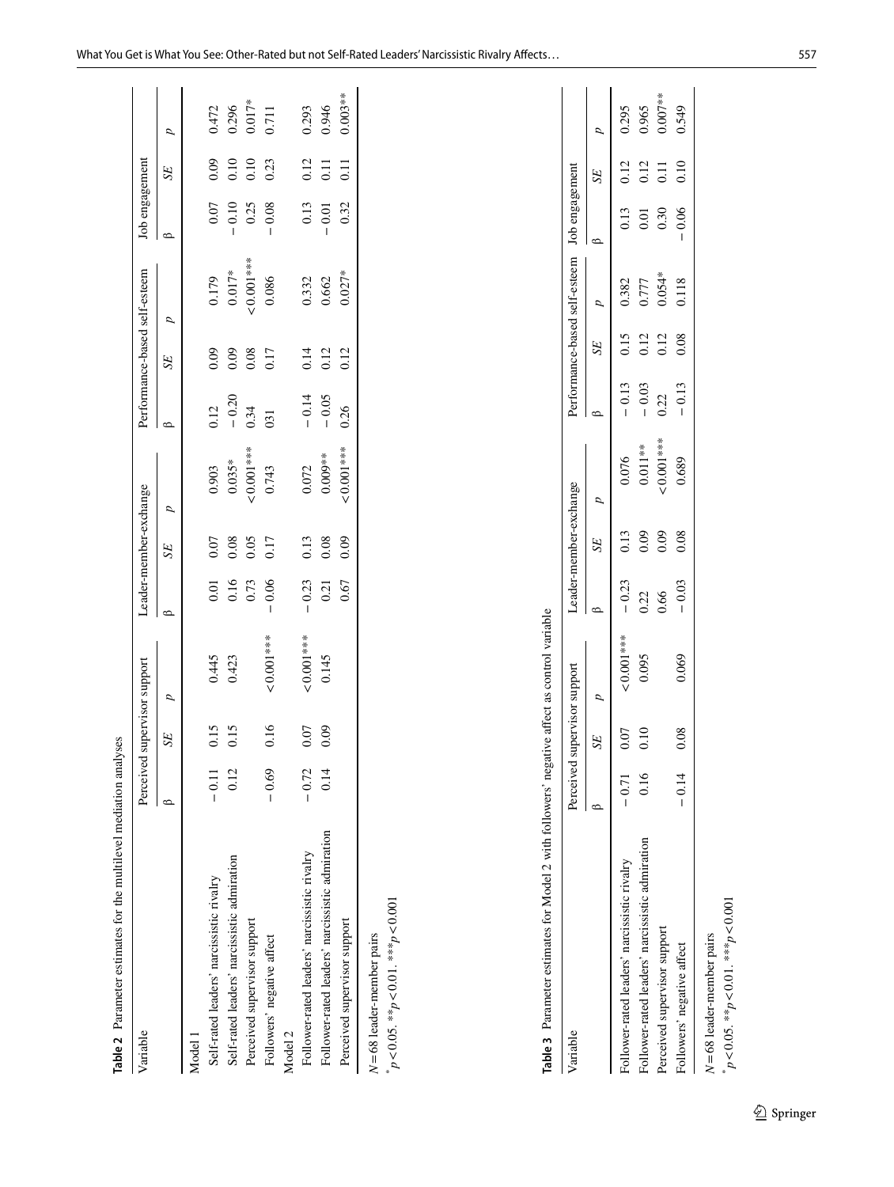| $\circ$<br>$0.001***$<br>$0.035*$<br>0.903<br>0.743<br>p<br>0.08<br>0.05<br>0.17<br>0.07<br>SE<br>0.16<br>0.73<br>$-0.06$<br>0.01<br>$0.001***$<br>0.445<br>0.423<br>p<br>0.16<br>0.15<br>0.15<br>0.07<br>52<br>0.12<br>$-0.69$<br>$-0.72$<br>$-0.11$<br>Follower-rated leaders' narcissistic rivalry<br>Self-rated leaders' narcissistic admiration<br>Self-rated leaders' narcissistic rivalry<br>Perceived supervisor support<br>Followers' negative affect<br>Model <sub>2</sub><br>Model 1 |                                 |       | 0.12    | p<br>SE                         |                         | Job engagement    |                                            |
|-------------------------------------------------------------------------------------------------------------------------------------------------------------------------------------------------------------------------------------------------------------------------------------------------------------------------------------------------------------------------------------------------------------------------------------------------------------------------------------------------|---------------------------------|-------|---------|---------------------------------|-------------------------|-------------------|--------------------------------------------|
|                                                                                                                                                                                                                                                                                                                                                                                                                                                                                                 |                                 |       |         |                                 | $\circ$                 | SE                | ρ                                          |
|                                                                                                                                                                                                                                                                                                                                                                                                                                                                                                 |                                 |       |         |                                 |                         |                   |                                            |
|                                                                                                                                                                                                                                                                                                                                                                                                                                                                                                 |                                 |       |         | 0.09                            | $0.07\,$                | 0.09              |                                            |
|                                                                                                                                                                                                                                                                                                                                                                                                                                                                                                 |                                 |       | $-0.20$ | $0.179$<br>$0.017*$<br>0.09     | $-0.10$<br>0.25<br>0.08 | 0.10              | $0.472$<br>$0.296$<br>$0.017*$<br>$0.017*$ |
|                                                                                                                                                                                                                                                                                                                                                                                                                                                                                                 |                                 |       | 0.34    | $-0.001***$<br>$0.08$<br>$0.17$ |                         | 0.10              |                                            |
|                                                                                                                                                                                                                                                                                                                                                                                                                                                                                                 |                                 |       | 031     | 0.086                           |                         | 0.23              |                                            |
|                                                                                                                                                                                                                                                                                                                                                                                                                                                                                                 |                                 |       |         |                                 |                         |                   |                                            |
|                                                                                                                                                                                                                                                                                                                                                                                                                                                                                                 | 0.13<br>$-0.23$<br>$< 0.001***$ | 0.072 | $-0.14$ | 0.14                            | 0.13                    | 0.12              |                                            |
| $0.009**$<br>0.08<br>0.21<br>0.145<br>0.09<br>0.14<br>Follower-rated leaders' narcissistic admiration                                                                                                                                                                                                                                                                                                                                                                                           |                                 |       | $-0.05$ | 0.332<br>0.662<br>0.12          | $-0.01$                 | $\overline{0.11}$ | 0.293<br>0.946                             |
| $0.001***$<br>0.09<br>0.67<br>Perceived supervisor support                                                                                                                                                                                                                                                                                                                                                                                                                                      |                                 |       | 0.26    | $0.027*$<br>0.12                | 0.32                    | 0.11              | $0.003**$                                  |

<span id="page-8-0"></span>

| í | i<br>*** |
|---|----------|
|   | č        |
|   | ***      |
|   | n n s    |
|   |          |

| able 3 Parameter estimates for Model 2 with followers' negative affect as control variable |                              |            |         |                        |             |         |              |                                              |      |                   |           |
|--------------------------------------------------------------------------------------------|------------------------------|------------|---------|------------------------|-------------|---------|--------------|----------------------------------------------|------|-------------------|-----------|
| lariable                                                                                   | Perceived supervisor support |            |         | Leader-member-exchange |             |         |              | Performance-based self-esteem Job engagement |      |                   |           |
|                                                                                            |                              |            | SE      |                        |             |         | SE           |                                              |      | SE <sub>1</sub>   |           |
| ollower-rated leaders' narcissistic rivalry                                                | $-0.71$                      | $0.001***$ | $-0.23$ | 0.13                   | 0.076       |         | $-0.13$ 0.15 | 0.382                                        |      | $0.13$ $0.12$     | 0.295     |
| Follower-rated leaders' narcissistic admiration                                            | 0.16                         | 0.095      | 0.22    | $\tilde{5}$            | $0.011**$   | $-0.03$ | 0.12         | 0.777                                        | 0.01 | 0.12              | 0.965     |
| Perceived supervisor support                                                               |                              |            | 0.66    | 0.09                   | $10.001***$ | 0.22    | 0.12         | $0.054*$                                     | 0.30 | $\overline{0.11}$ | $0.007**$ |

Perceived supervisor supervisor supervisor supervisor supervisor on  $122$  0.001 0.09 0.000 0.05 0.000 0.000 0.000 0.000 0.000 0.000 0.000 0.000 0.007 0.007 0.007 0.007 0.007 0.007 0.007 0.007 0.07 0.007 0.007 0.007 0.007 0 G+5'0 01.0 90.0 − 811.0 80.0 c1.0− 0.89.0 80.0 c0.0− 0.90.0 80.0 ±1.0− − 0.04 0.08 0.12 0.08 0.06 0.1

0.549

 $-0.06$ 

0.118

 $-0.13$ 

0.689

 $0.08\,$ 

 $-0.03$ 

0.069

 $0.08\,$ 

 $-0.14$ 

 $0.12$  $0.08\,$ 

 $0.11$  $0.10$ 

 $N = 68$  leader-member pairs *N*=68 leader-member pairs \*

<span id="page-8-1"></span>Followers' negative affect

*p*<0.05. \*\**p*<0.01. \*\*\**p*<0.001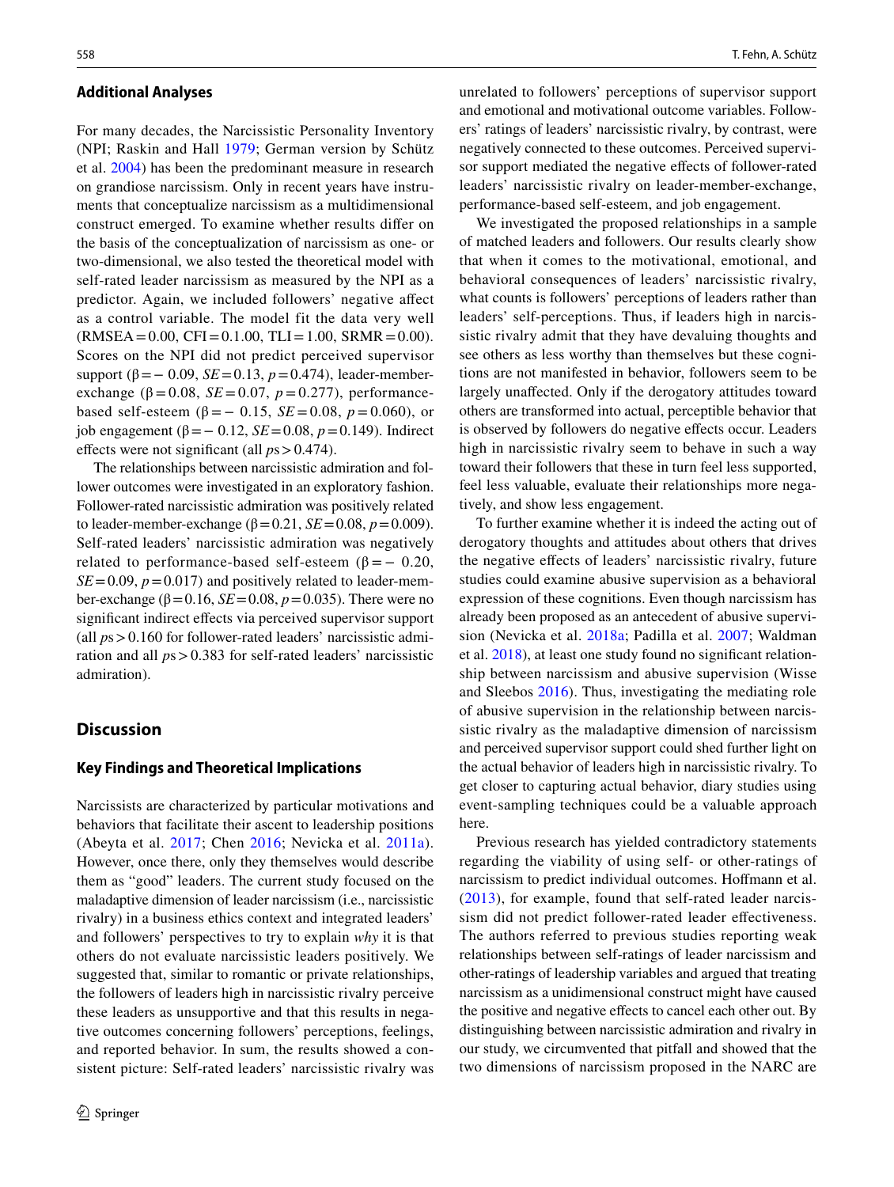#### **Additional Analyses**

For many decades, the Narcissistic Personality Inventory (NPI; Raskin and Hall [1979](#page-16-7); German version by Schütz et al. [2004](#page-16-8)) has been the predominant measure in research on grandiose narcissism. Only in recent years have instruments that conceptualize narcissism as a multidimensional construct emerged. To examine whether results difer on the basis of the conceptualization of narcissism as one- or two-dimensional, we also tested the theoretical model with self-rated leader narcissism as measured by the NPI as a predictor. Again, we included followers' negative afect as a control variable. The model fit the data very well  $(RMSEA = 0.00, CFI = 0.1.00, TLI = 1.00, SRMR = 0.00).$ Scores on the NPI did not predict perceived supervisor support ( $\beta$ = – 0.09, *SE* = 0.13, *p* = 0.474), leader-memberexchange ( $β = 0.08$ , *SE* = 0.07, *p* = 0.277), performancebased self-esteem (β =  $-$  0.15, *SE* = 0.08, *p* = 0.060), or job engagement (β=− 0.12, *SE*=0.08, *p*=0.149). Indirect efects were not signifcant (all *p*s>0.474).

The relationships between narcissistic admiration and follower outcomes were investigated in an exploratory fashion. Follower-rated narcissistic admiration was positively related to leader-member-exchange ( $β = 0.21$ , *SE* = 0.08, *p* = 0.009). Self-rated leaders' narcissistic admiration was negatively related to performance-based self-esteem ( $\beta$  = - 0.20,  $SE = 0.09$ ,  $p = 0.017$ ) and positively related to leader-member-exchange (β=0.16, *SE*=0.08, *p*=0.035). There were no significant indirect effects via perceived supervisor support (all *p*s>0.160 for follower-rated leaders' narcissistic admiration and all *p*s>0.383 for self-rated leaders' narcissistic admiration).

# **Discussion**

## **Key Findings and Theoretical Implications**

Narcissists are characterized by particular motivations and behaviors that facilitate their ascent to leadership positions (Abeyta et al. [2017](#page-13-6); Chen [2016;](#page-14-11) Nevicka et al. [2011a](#page-16-10)). However, once there, only they themselves would describe them as "good" leaders. The current study focused on the maladaptive dimension of leader narcissism (i.e., narcissistic rivalry) in a business ethics context and integrated leaders' and followers' perspectives to try to explain *why* it is that others do not evaluate narcissistic leaders positively. We suggested that, similar to romantic or private relationships, the followers of leaders high in narcissistic rivalry perceive these leaders as unsupportive and that this results in negative outcomes concerning followers' perceptions, feelings, and reported behavior. In sum, the results showed a consistent picture: Self-rated leaders' narcissistic rivalry was unrelated to followers' perceptions of supervisor support and emotional and motivational outcome variables. Followers' ratings of leaders' narcissistic rivalry, by contrast, were negatively connected to these outcomes. Perceived supervisor support mediated the negative efects of follower-rated leaders' narcissistic rivalry on leader-member-exchange, performance-based self-esteem, and job engagement.

We investigated the proposed relationships in a sample of matched leaders and followers. Our results clearly show that when it comes to the motivational, emotional, and behavioral consequences of leaders' narcissistic rivalry, what counts is followers' perceptions of leaders rather than leaders' self-perceptions. Thus, if leaders high in narcissistic rivalry admit that they have devaluing thoughts and see others as less worthy than themselves but these cognitions are not manifested in behavior, followers seem to be largely unafected. Only if the derogatory attitudes toward others are transformed into actual, perceptible behavior that is observed by followers do negative efects occur. Leaders high in narcissistic rivalry seem to behave in such a way toward their followers that these in turn feel less supported, feel less valuable, evaluate their relationships more negatively, and show less engagement.

To further examine whether it is indeed the acting out of derogatory thoughts and attitudes about others that drives the negative efects of leaders' narcissistic rivalry, future studies could examine abusive supervision as a behavioral expression of these cognitions. Even though narcissism has already been proposed as an antecedent of abusive supervision (Nevicka et al. [2018a](#page-16-3); Padilla et al. [2007;](#page-16-2) Waldman et al. [2018](#page-17-0)), at least one study found no signifcant relationship between narcissism and abusive supervision (Wisse and Sleebos [2016\)](#page-17-1). Thus, investigating the mediating role of abusive supervision in the relationship between narcissistic rivalry as the maladaptive dimension of narcissism and perceived supervisor support could shed further light on the actual behavior of leaders high in narcissistic rivalry. To get closer to capturing actual behavior, diary studies using event-sampling techniques could be a valuable approach here.

Previous research has yielded contradictory statements regarding the viability of using self- or other-ratings of narcissism to predict individual outcomes. Hofmann et al. ([2013\)](#page-15-20), for example, found that self-rated leader narcissism did not predict follower-rated leader efectiveness. The authors referred to previous studies reporting weak relationships between self-ratings of leader narcissism and other-ratings of leadership variables and argued that treating narcissism as a unidimensional construct might have caused the positive and negative efects to cancel each other out. By distinguishing between narcissistic admiration and rivalry in our study, we circumvented that pitfall and showed that the two dimensions of narcissism proposed in the NARC are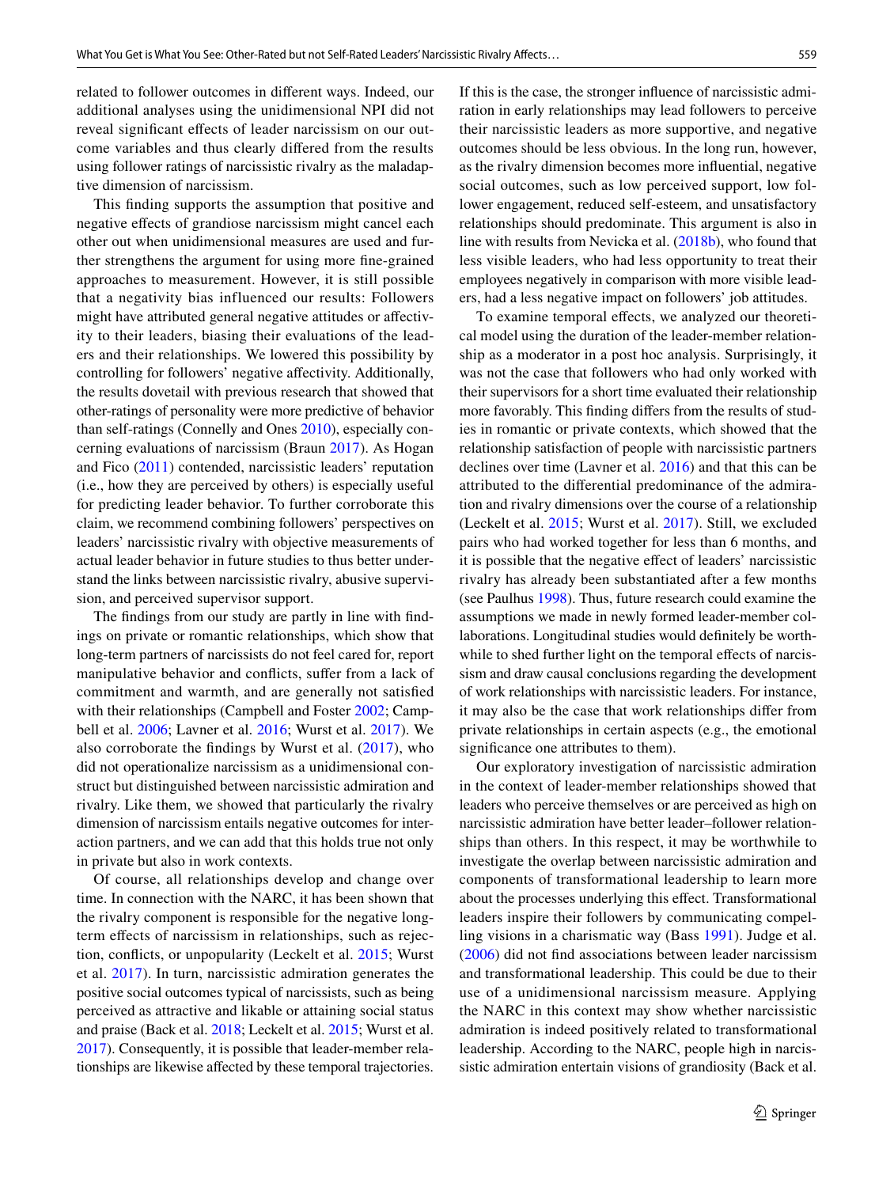related to follower outcomes in diferent ways. Indeed, our additional analyses using the unidimensional NPI did not reveal signifcant efects of leader narcissism on our outcome variables and thus clearly difered from the results using follower ratings of narcissistic rivalry as the maladaptive dimension of narcissism.

This fnding supports the assumption that positive and negative efects of grandiose narcissism might cancel each other out when unidimensional measures are used and further strengthens the argument for using more fne-grained approaches to measurement. However, it is still possible that a negativity bias influenced our results: Followers might have attributed general negative attitudes or afectivity to their leaders, biasing their evaluations of the leaders and their relationships. We lowered this possibility by controlling for followers' negative afectivity. Additionally, the results dovetail with previous research that showed that other-ratings of personality were more predictive of behavior than self-ratings (Connelly and Ones [2010\)](#page-14-10), especially concerning evaluations of narcissism (Braun [2017\)](#page-13-3). As Hogan and Fico ([2011\)](#page-15-2) contended, narcissistic leaders' reputation (i.e., how they are perceived by others) is especially useful for predicting leader behavior. To further corroborate this claim, we recommend combining followers' perspectives on leaders' narcissistic rivalry with objective measurements of actual leader behavior in future studies to thus better understand the links between narcissistic rivalry, abusive supervision, and perceived supervisor support.

The fndings from our study are partly in line with fndings on private or romantic relationships, which show that long-term partners of narcissists do not feel cared for, report manipulative behavior and conficts, sufer from a lack of commitment and warmth, and are generally not satisfed with their relationships (Campbell and Foster [2002;](#page-14-21) Campbell et al. [2006;](#page-14-22) Lavner et al. [2016](#page-15-6); Wurst et al. [2017](#page-17-5)). We also corroborate the findings by Wurst et al.  $(2017)$  $(2017)$  $(2017)$ , who did not operationalize narcissism as a unidimensional construct but distinguished between narcissistic admiration and rivalry. Like them, we showed that particularly the rivalry dimension of narcissism entails negative outcomes for interaction partners, and we can add that this holds true not only in private but also in work contexts.

Of course, all relationships develop and change over time. In connection with the NARC, it has been shown that the rivalry component is responsible for the negative longterm efects of narcissism in relationships, such as rejection, conficts, or unpopularity (Leckelt et al. [2015;](#page-15-7) Wurst et al. [2017](#page-17-5)). In turn, narcissistic admiration generates the positive social outcomes typical of narcissists, such as being perceived as attractive and likable or attaining social status and praise (Back et al. [2018;](#page-13-9) Leckelt et al. [2015;](#page-15-7) Wurst et al. [2017](#page-17-5)). Consequently, it is possible that leader-member relationships are likewise afected by these temporal trajectories.

If this is the case, the stronger infuence of narcissistic admiration in early relationships may lead followers to perceive their narcissistic leaders as more supportive, and negative outcomes should be less obvious. In the long run, however, as the rivalry dimension becomes more infuential, negative social outcomes, such as low perceived support, low follower engagement, reduced self-esteem, and unsatisfactory relationships should predominate. This argument is also in line with results from Nevicka et al. [\(2018b\)](#page-16-6), who found that less visible leaders, who had less opportunity to treat their employees negatively in comparison with more visible leaders, had a less negative impact on followers' job attitudes.

To examine temporal effects, we analyzed our theoretical model using the duration of the leader-member relationship as a moderator in a post hoc analysis. Surprisingly, it was not the case that followers who had only worked with their supervisors for a short time evaluated their relationship more favorably. This fnding difers from the results of studies in romantic or private contexts, which showed that the relationship satisfaction of people with narcissistic partners declines over time (Lavner et al. [2016\)](#page-15-6) and that this can be attributed to the diferential predominance of the admiration and rivalry dimensions over the course of a relationship (Leckelt et al. [2015;](#page-15-7) Wurst et al. [2017](#page-17-5)). Still, we excluded pairs who had worked together for less than 6 months, and it is possible that the negative efect of leaders' narcissistic rivalry has already been substantiated after a few months (see Paulhus [1998\)](#page-16-16). Thus, future research could examine the assumptions we made in newly formed leader-member collaborations. Longitudinal studies would defnitely be worthwhile to shed further light on the temporal effects of narcissism and draw causal conclusions regarding the development of work relationships with narcissistic leaders. For instance, it may also be the case that work relationships difer from private relationships in certain aspects (e.g., the emotional signifcance one attributes to them).

Our exploratory investigation of narcissistic admiration in the context of leader-member relationships showed that leaders who perceive themselves or are perceived as high on narcissistic admiration have better leader–follower relationships than others. In this respect, it may be worthwhile to investigate the overlap between narcissistic admiration and components of transformational leadership to learn more about the processes underlying this efect. Transformational leaders inspire their followers by communicating compelling visions in a charismatic way (Bass [1991](#page-13-13)). Judge et al. ([2006\)](#page-15-21) did not fnd associations between leader narcissism and transformational leadership. This could be due to their use of a unidimensional narcissism measure. Applying the NARC in this context may show whether narcissistic admiration is indeed positively related to transformational leadership. According to the NARC, people high in narcissistic admiration entertain visions of grandiosity (Back et al.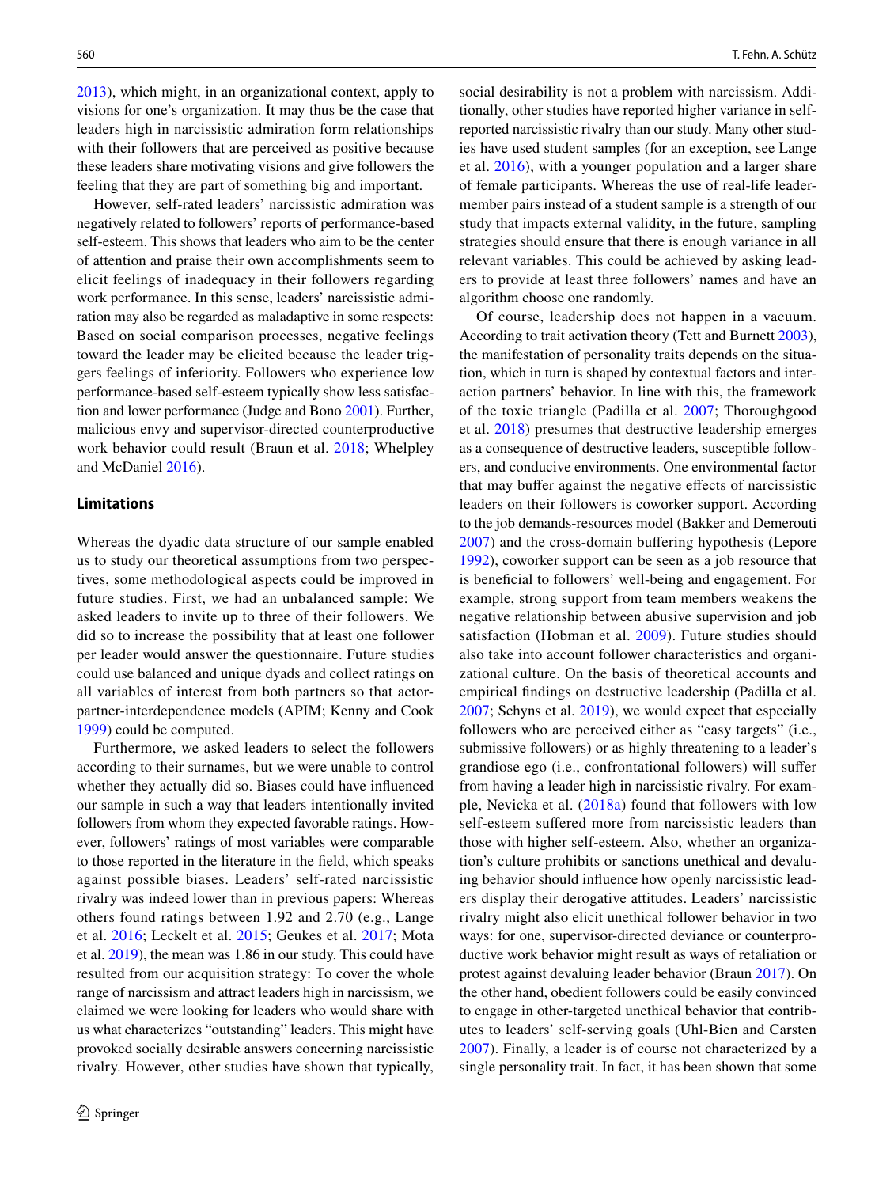[2013](#page-13-4)), which might, in an organizational context, apply to visions for one's organization. It may thus be the case that leaders high in narcissistic admiration form relationships with their followers that are perceived as positive because these leaders share motivating visions and give followers the feeling that they are part of something big and important.

However, self-rated leaders' narcissistic admiration was negatively related to followers' reports of performance-based self-esteem. This shows that leaders who aim to be the center of attention and praise their own accomplishments seem to elicit feelings of inadequacy in their followers regarding work performance. In this sense, leaders' narcissistic admiration may also be regarded as maladaptive in some respects: Based on social comparison processes, negative feelings toward the leader may be elicited because the leader triggers feelings of inferiority. Followers who experience low performance-based self-esteem typically show less satisfaction and lower performance (Judge and Bono [2001\)](#page-15-22). Further, malicious envy and supervisor-directed counterproductive work behavior could result (Braun et al. [2018](#page-13-1); Whelpley and McDaniel [2016](#page-17-12)).

#### **Limitations**

Whereas the dyadic data structure of our sample enabled us to study our theoretical assumptions from two perspectives, some methodological aspects could be improved in future studies. First, we had an unbalanced sample: We asked leaders to invite up to three of their followers. We did so to increase the possibility that at least one follower per leader would answer the questionnaire. Future studies could use balanced and unique dyads and collect ratings on all variables of interest from both partners so that actorpartner-interdependence models (APIM; Kenny and Cook [1999](#page-15-23)) could be computed.

Furthermore, we asked leaders to select the followers according to their surnames, but we were unable to control whether they actually did so. Biases could have infuenced our sample in such a way that leaders intentionally invited followers from whom they expected favorable ratings. However, followers' ratings of most variables were comparable to those reported in the literature in the feld, which speaks against possible biases. Leaders' self-rated narcissistic rivalry was indeed lower than in previous papers: Whereas others found ratings between 1.92 and 2.70 (e.g., Lange et al. [2016;](#page-15-24) Leckelt et al. [2015](#page-15-7); Geukes et al. [2017;](#page-14-23) Mota et al. [2019](#page-16-26)), the mean was 1.86 in our study. This could have resulted from our acquisition strategy: To cover the whole range of narcissism and attract leaders high in narcissism, we claimed we were looking for leaders who would share with us what characterizes "outstanding" leaders. This might have provoked socially desirable answers concerning narcissistic rivalry. However, other studies have shown that typically,

social desirability is not a problem with narcissism. Additionally, other studies have reported higher variance in selfreported narcissistic rivalry than our study. Many other studies have used student samples (for an exception, see Lange et al. [2016\)](#page-15-24), with a younger population and a larger share of female participants. Whereas the use of real-life leadermember pairs instead of a student sample is a strength of our study that impacts external validity, in the future, sampling strategies should ensure that there is enough variance in all relevant variables. This could be achieved by asking leaders to provide at least three followers' names and have an algorithm choose one randomly.

Of course, leadership does not happen in a vacuum. According to trait activation theory (Tett and Burnett [2003](#page-17-13)), the manifestation of personality traits depends on the situation, which in turn is shaped by contextual factors and interaction partners' behavior. In line with this, the framework of the toxic triangle (Padilla et al. [2007](#page-16-2); Thoroughgood et al. [2018](#page-17-7)) presumes that destructive leadership emerges as a consequence of destructive leaders, susceptible followers, and conducive environments. One environmental factor that may bufer against the negative efects of narcissistic leaders on their followers is coworker support. According to the job demands-resources model (Bakker and Demerouti [2007\)](#page-13-14) and the cross-domain bufering hypothesis (Lepore [1992](#page-15-25)), coworker support can be seen as a job resource that is benefcial to followers' well-being and engagement. For example, strong support from team members weakens the negative relationship between abusive supervision and job satisfaction (Hobman et al. [2009](#page-15-26)). Future studies should also take into account follower characteristics and organizational culture. On the basis of theoretical accounts and empirical fndings on destructive leadership (Padilla et al. [2007](#page-16-2); Schyns et al. [2019](#page-16-1)), we would expect that especially followers who are perceived either as "easy targets" (i.e., submissive followers) or as highly threatening to a leader's grandiose ego (i.e., confrontational followers) will sufer from having a leader high in narcissistic rivalry. For example, Nevicka et al. ([2018a\)](#page-16-3) found that followers with low self-esteem suffered more from narcissistic leaders than those with higher self-esteem. Also, whether an organization's culture prohibits or sanctions unethical and devaluing behavior should infuence how openly narcissistic leaders display their derogative attitudes. Leaders' narcissistic rivalry might also elicit unethical follower behavior in two ways: for one, supervisor-directed deviance or counterproductive work behavior might result as ways of retaliation or protest against devaluing leader behavior (Braun [2017\)](#page-13-3). On the other hand, obedient followers could be easily convinced to engage in other-targeted unethical behavior that contributes to leaders' self-serving goals (Uhl-Bien and Carsten [2007](#page-17-14)). Finally, a leader is of course not characterized by a single personality trait. In fact, it has been shown that some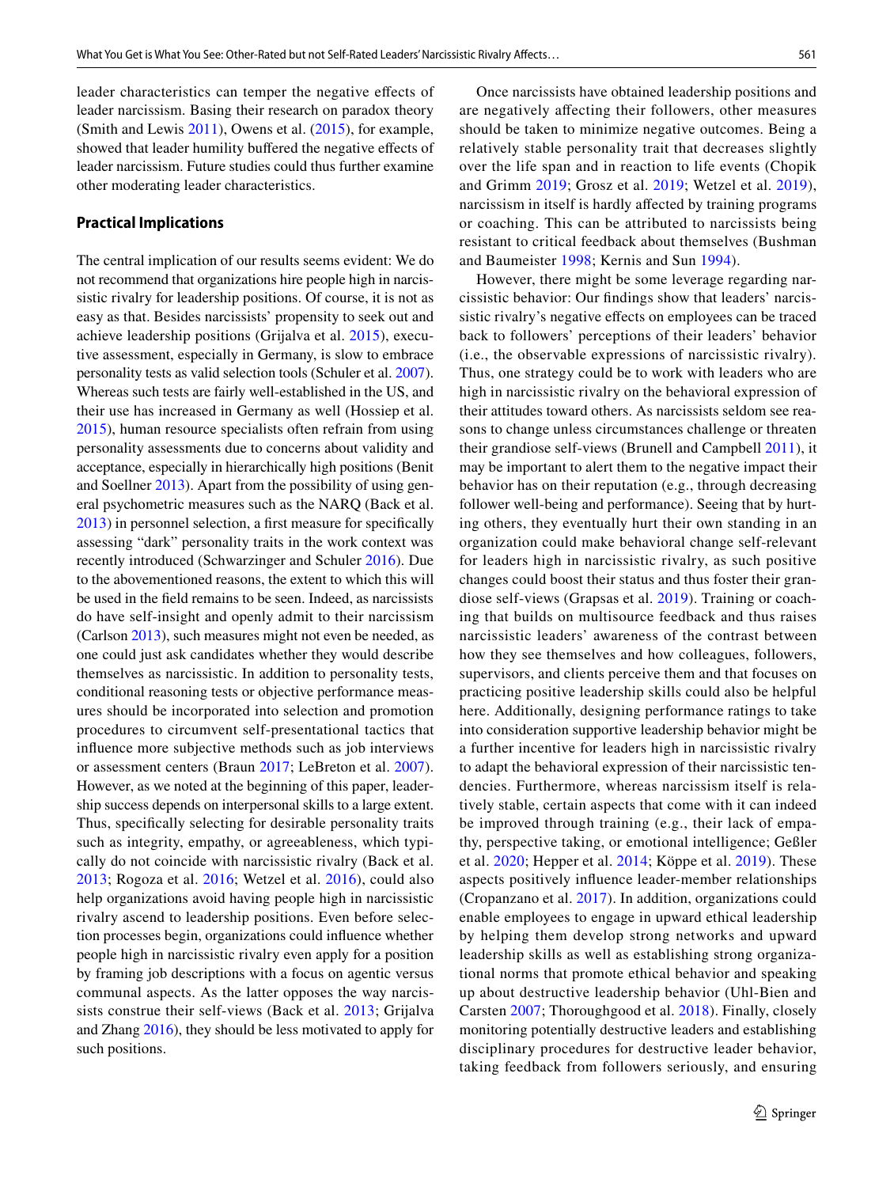leader characteristics can temper the negative efects of leader narcissism. Basing their research on paradox theory (Smith and Lewis [2011\)](#page-17-15), Owens et al. ([2015](#page-16-27)), for example, showed that leader humility buffered the negative effects of leader narcissism. Future studies could thus further examine other moderating leader characteristics.

# **Practical Implications**

The central implication of our results seems evident: We do not recommend that organizations hire people high in narcissistic rivalry for leadership positions. Of course, it is not as easy as that. Besides narcissists' propensity to seek out and achieve leadership positions (Grijalva et al. [2015](#page-14-1)), executive assessment, especially in Germany, is slow to embrace personality tests as valid selection tools (Schuler et al. [2007](#page-16-28)). Whereas such tests are fairly well-established in the US, and their use has increased in Germany as well (Hossiep et al. [2015](#page-15-27)), human resource specialists often refrain from using personality assessments due to concerns about validity and acceptance, especially in hierarchically high positions (Benit and Soellner [2013](#page-13-15)). Apart from the possibility of using general psychometric measures such as the NARQ (Back et al. [2013](#page-13-4)) in personnel selection, a frst measure for specifcally assessing "dark" personality traits in the work context was recently introduced (Schwarzinger and Schuler [2016\)](#page-16-29). Due to the abovementioned reasons, the extent to which this will be used in the feld remains to be seen. Indeed, as narcissists do have self-insight and openly admit to their narcissism (Carlson [2013](#page-14-24)), such measures might not even be needed, as one could just ask candidates whether they would describe themselves as narcissistic. In addition to personality tests, conditional reasoning tests or objective performance measures should be incorporated into selection and promotion procedures to circumvent self-presentational tactics that infuence more subjective methods such as job interviews or assessment centers (Braun [2017](#page-13-3); LeBreton et al. [2007](#page-15-28)). However, as we noted at the beginning of this paper, leadership success depends on interpersonal skills to a large extent. Thus, specifcally selecting for desirable personality traits such as integrity, empathy, or agreeableness, which typically do not coincide with narcissistic rivalry (Back et al. [2013;](#page-13-4) Rogoza et al. [2016;](#page-16-30) Wetzel et al. [2016\)](#page-17-16), could also help organizations avoid having people high in narcissistic rivalry ascend to leadership positions. Even before selection processes begin, organizations could infuence whether people high in narcissistic rivalry even apply for a position by framing job descriptions with a focus on agentic versus communal aspects. As the latter opposes the way narcissists construe their self-views (Back et al. [2013;](#page-13-4) Grijalva and Zhang [2016\)](#page-15-29), they should be less motivated to apply for such positions.

Once narcissists have obtained leadership positions and are negatively afecting their followers, other measures should be taken to minimize negative outcomes. Being a relatively stable personality trait that decreases slightly over the life span and in reaction to life events (Chopik and Grimm [2019;](#page-14-25) Grosz et al. [2019](#page-15-30); Wetzel et al. [2019](#page-17-17)), narcissism in itself is hardly afected by training programs or coaching. This can be attributed to narcissists being resistant to critical feedback about themselves (Bushman and Baumeister [1998](#page-14-26); Kernis and Sun [1994](#page-15-31)).

However, there might be some leverage regarding narcissistic behavior: Our fndings show that leaders' narcissistic rivalry's negative efects on employees can be traced back to followers' perceptions of their leaders' behavior (i.e., the observable expressions of narcissistic rivalry). Thus, one strategy could be to work with leaders who are high in narcissistic rivalry on the behavioral expression of their attitudes toward others. As narcissists seldom see reasons to change unless circumstances challenge or threaten their grandiose self-views (Brunell and Campbell [2011](#page-14-27)), it may be important to alert them to the negative impact their behavior has on their reputation (e.g., through decreasing follower well-being and performance). Seeing that by hurting others, they eventually hurt their own standing in an organization could make behavioral change self-relevant for leaders high in narcissistic rivalry, as such positive changes could boost their status and thus foster their grandiose self-views (Grapsas et al. [2019\)](#page-14-28). Training or coaching that builds on multisource feedback and thus raises narcissistic leaders' awareness of the contrast between how they see themselves and how colleagues, followers, supervisors, and clients perceive them and that focuses on practicing positive leadership skills could also be helpful here. Additionally, designing performance ratings to take into consideration supportive leadership behavior might be a further incentive for leaders high in narcissistic rivalry to adapt the behavioral expression of their narcissistic tendencies. Furthermore, whereas narcissism itself is relatively stable, certain aspects that come with it can indeed be improved through training (e.g., their lack of empathy, perspective taking, or emotional intelligence; Geßler et al. [2020;](#page-14-29) Hepper et al. [2014;](#page-15-32) Köppe et al. [2019\)](#page-15-33). These aspects positively infuence leader-member relationships (Cropanzano et al. [2017\)](#page-14-30). In addition, organizations could enable employees to engage in upward ethical leadership by helping them develop strong networks and upward leadership skills as well as establishing strong organizational norms that promote ethical behavior and speaking up about destructive leadership behavior (Uhl-Bien and Carsten [2007;](#page-17-14) Thoroughgood et al. [2018\)](#page-17-7). Finally, closely monitoring potentially destructive leaders and establishing disciplinary procedures for destructive leader behavior, taking feedback from followers seriously, and ensuring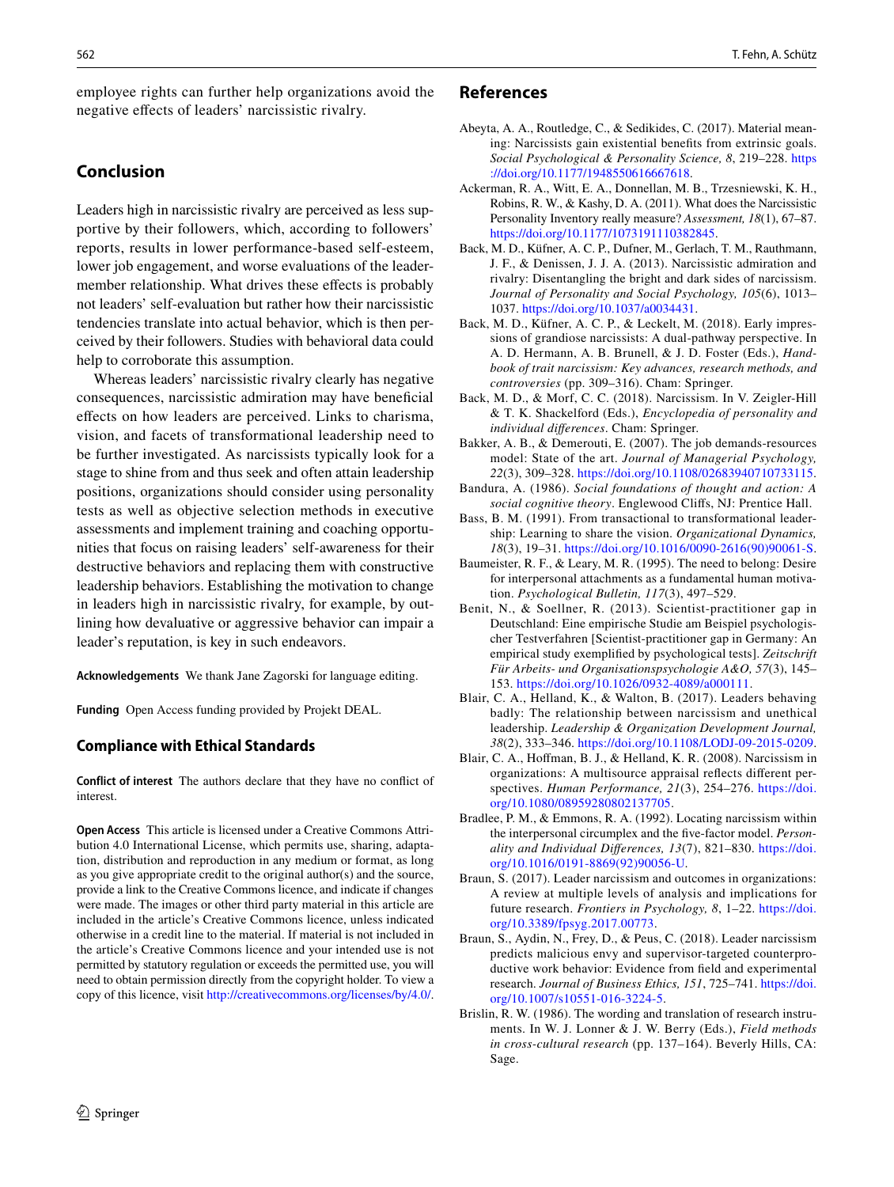employee rights can further help organizations avoid the negative efects of leaders' narcissistic rivalry.

# **Conclusion**

Leaders high in narcissistic rivalry are perceived as less supportive by their followers, which, according to followers' reports, results in lower performance-based self-esteem, lower job engagement, and worse evaluations of the leadermember relationship. What drives these effects is probably not leaders' self-evaluation but rather how their narcissistic tendencies translate into actual behavior, which is then perceived by their followers. Studies with behavioral data could help to corroborate this assumption.

Whereas leaders' narcissistic rivalry clearly has negative consequences, narcissistic admiration may have benefcial efects on how leaders are perceived. Links to charisma, vision, and facets of transformational leadership need to be further investigated. As narcissists typically look for a stage to shine from and thus seek and often attain leadership positions, organizations should consider using personality tests as well as objective selection methods in executive assessments and implement training and coaching opportunities that focus on raising leaders' self-awareness for their destructive behaviors and replacing them with constructive leadership behaviors. Establishing the motivation to change in leaders high in narcissistic rivalry, for example, by outlining how devaluative or aggressive behavior can impair a leader's reputation, is key in such endeavors.

**Acknowledgements** We thank Jane Zagorski for language editing.

**Funding** Open Access funding provided by Projekt DEAL.

# **Compliance with Ethical Standards**

**Conflict of interest** The authors declare that they have no confict of interest.

**Open Access** This article is licensed under a Creative Commons Attribution 4.0 International License, which permits use, sharing, adaptation, distribution and reproduction in any medium or format, as long as you give appropriate credit to the original author(s) and the source, provide a link to the Creative Commons licence, and indicate if changes were made. The images or other third party material in this article are included in the article's Creative Commons licence, unless indicated otherwise in a credit line to the material. If material is not included in the article's Creative Commons licence and your intended use is not permitted by statutory regulation or exceeds the permitted use, you will need to obtain permission directly from the copyright holder. To view a copy of this licence, visit <http://creativecommons.org/licenses/by/4.0/>.

- <span id="page-13-6"></span>Abeyta, A. A., Routledge, C., & Sedikides, C. (2017). Material meaning: Narcissists gain existential benefts from extrinsic goals. *Social Psychological & Personality Science, 8*, 219–228. [https](https://doi.org/10.1177/1948550616667618) [://doi.org/10.1177/1948550616667618.](https://doi.org/10.1177/1948550616667618)
- <span id="page-13-2"></span>Ackerman, R. A., Witt, E. A., Donnellan, M. B., Trzesniewski, K. H., Robins, R. W., & Kashy, D. A. (2011). What does the Narcissistic Personality Inventory really measure? *Assessment, 18*(1), 67–87. <https://doi.org/10.1177/1073191110382845>.
- <span id="page-13-4"></span>Back, M. D., Küfner, A. C. P., Dufner, M., Gerlach, T. M., Rauthmann, J. F., & Denissen, J. J. A. (2013). Narcissistic admiration and rivalry: Disentangling the bright and dark sides of narcissism. *Journal of Personality and Social Psychology, 105*(6), 1013– 1037.<https://doi.org/10.1037/a0034431>.
- <span id="page-13-9"></span>Back, M. D., Küfner, A. C. P., & Leckelt, M. (2018). Early impressions of grandiose narcissists: A dual-pathway perspective. In A. D. Hermann, A. B. Brunell, & J. D. Foster (Eds.), *Handbook of trait narcissism: Key advances, research methods, and controversies* (pp. 309–316). Cham: Springer.
- <span id="page-13-5"></span>Back, M. D., & Morf, C. C. (2018). Narcissism. In V. Zeigler-Hill & T. K. Shackelford (Eds.), *Encyclopedia of personality and individual diferences*. Cham: Springer.
- <span id="page-13-14"></span>Bakker, A. B., & Demerouti, E. (2007). The job demands-resources model: State of the art. *Journal of Managerial Psychology, 22*(3), 309–328. <https://doi.org/10.1108/02683940710733115>.
- <span id="page-13-11"></span>Bandura, A. (1986). *Social foundations of thought and action: A social cognitive theory*. Englewood Clifs, NJ: Prentice Hall.
- <span id="page-13-13"></span>Bass, B. M. (1991). From transactional to transformational leadership: Learning to share the vision. *Organizational Dynamics, 18*(3), 19–31. [https://doi.org/10.1016/0090-2616\(90\)90061-S](https://doi.org/10.1016/0090-2616(90)90061-S).
- <span id="page-13-10"></span>Baumeister, R. F., & Leary, M. R. (1995). The need to belong: Desire for interpersonal attachments as a fundamental human motivation. *Psychological Bulletin, 117*(3), 497–529.
- <span id="page-13-15"></span>Benit, N., & Soellner, R. (2013). Scientist-practitioner gap in Deutschland: Eine empirische Studie am Beispiel psychologischer Testverfahren [Scientist-practitioner gap in Germany: An empirical study exemplifed by psychological tests]. *Zeitschrift Für Arbeits- und Organisationspsychologie A&O, 57*(3), 145– 153. [https://doi.org/10.1026/0932-4089/a000111.](https://doi.org/10.1026/0932-4089/a000111)
- <span id="page-13-0"></span>Blair, C. A., Helland, K., & Walton, B. (2017). Leaders behaving badly: The relationship between narcissism and unethical leadership. *Leadership & Organization Development Journal, 38*(2), 333–346.<https://doi.org/10.1108/LODJ-09-2015-0209>.
- <span id="page-13-7"></span>Blair, C. A., Hofman, B. J., & Helland, K. R. (2008). Narcissism in organizations: A multisource appraisal refects diferent perspectives. *Human Performance, 21*(3), 254–276. [https://doi.](https://doi.org/10.1080/08959280802137705) [org/10.1080/08959280802137705](https://doi.org/10.1080/08959280802137705).
- <span id="page-13-8"></span>Bradlee, P. M., & Emmons, R. A. (1992). Locating narcissism within the interpersonal circumplex and the fve-factor model. *Personality and Individual Diferences, 13*(7), 821–830. [https://doi.](https://doi.org/10.1016/0191-8869(92)90056-U) [org/10.1016/0191-8869\(92\)90056-U](https://doi.org/10.1016/0191-8869(92)90056-U).
- <span id="page-13-3"></span>Braun, S. (2017). Leader narcissism and outcomes in organizations: A review at multiple levels of analysis and implications for future research. *Frontiers in Psychology, 8*, 1–22. [https://doi.](https://doi.org/10.3389/fpsyg.2017.00773) [org/10.3389/fpsyg.2017.00773.](https://doi.org/10.3389/fpsyg.2017.00773)
- <span id="page-13-1"></span>Braun, S., Aydin, N., Frey, D., & Peus, C. (2018). Leader narcissism predicts malicious envy and supervisor-targeted counterproductive work behavior: Evidence from feld and experimental research. *Journal of Business Ethics, 151*, 725–741. [https://doi.](https://doi.org/10.1007/s10551-016-3224-5) [org/10.1007/s10551-016-3224-5.](https://doi.org/10.1007/s10551-016-3224-5)
- <span id="page-13-12"></span>Brislin, R. W. (1986). The wording and translation of research instruments. In W. J. Lonner & J. W. Berry (Eds.), *Field methods in cross-cultural research* (pp. 137–164). Beverly Hills, CA: Sage.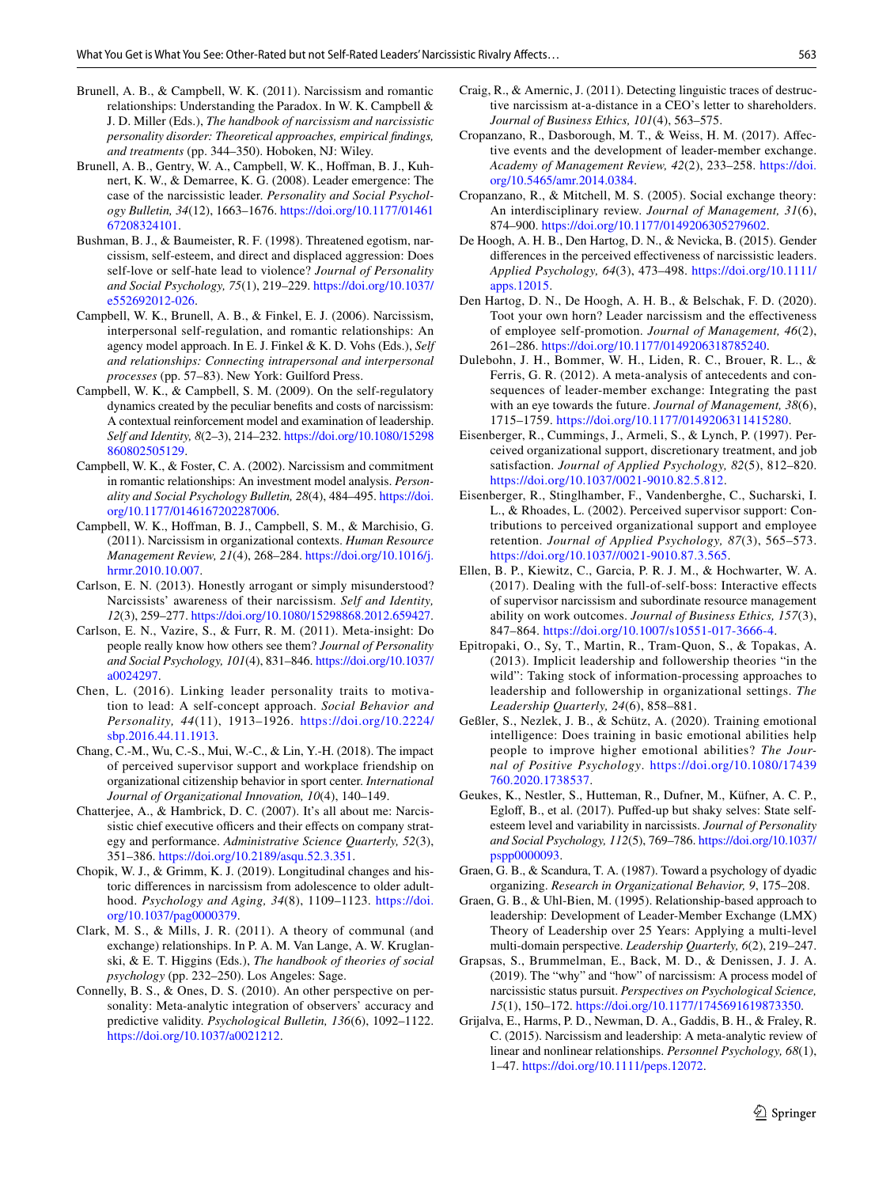- <span id="page-14-27"></span>Brunell, A. B., & Campbell, W. K. (2011). Narcissism and romantic relationships: Understanding the Paradox. In W. K. Campbell & J. D. Miller (Eds.), *The handbook of narcissism and narcissistic personality disorder: Theoretical approaches, empirical fndings, and treatments* (pp. 344–350). Hoboken, NJ: Wiley.
- <span id="page-14-0"></span>Brunell, A. B., Gentry, W. A., Campbell, W. K., Hoffman, B. J., Kuhnert, K. W., & Demarree, K. G. (2008). Leader emergence: The case of the narcissistic leader. *Personality and Social Psychology Bulletin, 34*(12), 1663–1676. [https://doi.org/10.1177/01461](https://doi.org/10.1177/0146167208324101) [67208324101.](https://doi.org/10.1177/0146167208324101)
- <span id="page-14-26"></span>Bushman, B. J., & Baumeister, R. F. (1998). Threatened egotism, narcissism, self-esteem, and direct and displaced aggression: Does self-love or self-hate lead to violence? *Journal of Personality and Social Psychology, 75*(1), 219–229. [https://doi.org/10.1037/](https://doi.org/10.1037/e552692012-026) [e552692012-026.](https://doi.org/10.1037/e552692012-026)
- <span id="page-14-22"></span>Campbell, W. K., Brunell, A. B., & Finkel, E. J. (2006). Narcissism, interpersonal self-regulation, and romantic relationships: An agency model approach. In E. J. Finkel & K. D. Vohs (Eds.), *Self and relationships: Connecting intrapersonal and interpersonal processes* (pp. 57–83). New York: Guilford Press.
- <span id="page-14-5"></span>Campbell, W. K., & Campbell, S. M. (2009). On the self-regulatory dynamics created by the peculiar benefts and costs of narcissism: A contextual reinforcement model and examination of leadership. *Self and Identity, 8*(2–3), 214–232. [https://doi.org/10.1080/15298](https://doi.org/10.1080/15298860802505129) [860802505129](https://doi.org/10.1080/15298860802505129).
- <span id="page-14-21"></span>Campbell, W. K., & Foster, C. A. (2002). Narcissism and commitment in romantic relationships: An investment model analysis. *Personality and Social Psychology Bulletin, 28*(4), 484–495. [https://doi.](https://doi.org/10.1177/0146167202287006) [org/10.1177/0146167202287006](https://doi.org/10.1177/0146167202287006).
- <span id="page-14-3"></span>Campbell, W. K., Hofman, B. J., Campbell, S. M., & Marchisio, G. (2011). Narcissism in organizational contexts. *Human Resource Management Review, 21*(4), 268–284. [https://doi.org/10.1016/j.](https://doi.org/10.1016/j.hrmr.2010.10.007) [hrmr.2010.10.007](https://doi.org/10.1016/j.hrmr.2010.10.007).
- <span id="page-14-24"></span>Carlson, E. N. (2013). Honestly arrogant or simply misunderstood? Narcissists' awareness of their narcissism. *Self and Identity, 12*(3), 259–277. [https://doi.org/10.1080/15298868.2012.659427.](https://doi.org/10.1080/15298868.2012.659427)
- <span id="page-14-9"></span>Carlson, E. N., Vazire, S., & Furr, R. M. (2011). Meta-insight: Do people really know how others see them? *Journal of Personality and Social Psychology, 101*(4), 831–846. [https://doi.org/10.1037/](https://doi.org/10.1037/a0024297) [a0024297](https://doi.org/10.1037/a0024297).
- <span id="page-14-11"></span>Chen, L. (2016). Linking leader personality traits to motivation to lead: A self-concept approach. *Social Behavior and Personality, 44*(11), 1913–1926. [https://doi.org/10.2224/](https://doi.org/10.2224/sbp.2016.44.11.1913) [sbp.2016.44.11.1913.](https://doi.org/10.2224/sbp.2016.44.11.1913)
- <span id="page-14-18"></span>Chang, C.-M., Wu, C.-S., Mui, W.-C., & Lin, Y.-H. (2018). The impact of perceived supervisor support and workplace friendship on organizational citizenship behavior in sport center. *International Journal of Organizational Innovation, 10*(4), 140–149.
- <span id="page-14-2"></span>Chatterjee, A., & Hambrick, D. C. (2007). It's all about me: Narcissistic chief executive officers and their effects on company strategy and performance. *Administrative Science Quarterly, 52*(3), 351–386. [https://doi.org/10.2189/asqu.52.3.351.](https://doi.org/10.2189/asqu.52.3.351)
- <span id="page-14-25"></span>Chopik, W. J., & Grimm, K. J. (2019). Longitudinal changes and historic diferences in narcissism from adolescence to older adulthood. *Psychology and Aging, 34*(8), 1109–1123. [https://doi.](https://doi.org/10.1037/pag0000379) [org/10.1037/pag0000379](https://doi.org/10.1037/pag0000379).
- <span id="page-14-16"></span>Clark, M. S., & Mills, J. R. (2011). A theory of communal (and exchange) relationships. In P. A. M. Van Lange, A. W. Kruglanski, & E. T. Higgins (Eds.), *The handbook of theories of social psychology* (pp. 232–250). Los Angeles: Sage.
- <span id="page-14-10"></span>Connelly, B. S., & Ones, D. S. (2010). An other perspective on personality: Meta-analytic integration of observers' accuracy and predictive validity. *Psychological Bulletin, 136*(6), 1092–1122. [https://doi.org/10.1037/a0021212.](https://doi.org/10.1037/a0021212)
- <span id="page-14-7"></span>Craig, R., & Amernic, J. (2011). Detecting linguistic traces of destructive narcissism at-a-distance in a CEO's letter to shareholders. *Journal of Business Ethics, 101*(4), 563–575.
- <span id="page-14-30"></span>Cropanzano, R., Dasborough, M. T., & Weiss, H. M. (2017). Afective events and the development of leader-member exchange. *Academy of Management Review, 42*(2), 233–258. [https://doi.](https://doi.org/10.5465/amr.2014.0384) [org/10.5465/amr.2014.0384](https://doi.org/10.5465/amr.2014.0384).
- <span id="page-14-8"></span>Cropanzano, R., & Mitchell, M. S. (2005). Social exchange theory: An interdisciplinary review. *Journal of Management, 31*(6), 874–900. [https://doi.org/10.1177/0149206305279602.](https://doi.org/10.1177/0149206305279602)
- <span id="page-14-13"></span>De Hoogh, A. H. B., Den Hartog, D. N., & Nevicka, B. (2015). Gender diferences in the perceived efectiveness of narcissistic leaders. *Applied Psychology, 64*(3), 473–498. [https://doi.org/10.1111/](https://doi.org/10.1111/apps.12015) [apps.12015](https://doi.org/10.1111/apps.12015).
- <span id="page-14-6"></span>Den Hartog, D. N., De Hoogh, A. H. B., & Belschak, F. D. (2020). Toot your own horn? Leader narcissism and the efectiveness of employee self-promotion. *Journal of Management, 46*(2), 261–286. [https://doi.org/10.1177/0149206318785240.](https://doi.org/10.1177/0149206318785240)
- <span id="page-14-14"></span>Dulebohn, J. H., Bommer, W. H., Liden, R. C., Brouer, R. L., & Ferris, G. R. (2012). A meta-analysis of antecedents and consequences of leader-member exchange: Integrating the past with an eye towards the future. *Journal of Management, 38*(6), 1715–1759. <https://doi.org/10.1177/0149206311415280>.
- <span id="page-14-20"></span>Eisenberger, R., Cummings, J., Armeli, S., & Lynch, P. (1997). Perceived organizational support, discretionary treatment, and job satisfaction. *Journal of Applied Psychology, 82*(5), 812–820. <https://doi.org/10.1037/0021-9010.82.5.812>.
- <span id="page-14-17"></span>Eisenberger, R., Stinglhamber, F., Vandenberghe, C., Sucharski, I. L., & Rhoades, L. (2002). Perceived supervisor support: Contributions to perceived organizational support and employee retention. *Journal of Applied Psychology, 87*(3), 565–573. [https://doi.org/10.1037//0021-9010.87.3.565.](https://doi.org/10.1037//0021-9010.87.3.565)
- <span id="page-14-15"></span>Ellen, B. P., Kiewitz, C., Garcia, P. R. J. M., & Hochwarter, W. A. (2017). Dealing with the full-of-self-boss: Interactive efects of supervisor narcissism and subordinate resource management ability on work outcomes. *Journal of Business Ethics, 157*(3), 847–864. [https://doi.org/10.1007/s10551-017-3666-4.](https://doi.org/10.1007/s10551-017-3666-4)
- <span id="page-14-12"></span>Epitropaki, O., Sy, T., Martin, R., Tram-Quon, S., & Topakas, A. (2013). Implicit leadership and followership theories "in the wild": Taking stock of information-processing approaches to leadership and followership in organizational settings. *The Leadership Quarterly, 24*(6), 858–881.
- <span id="page-14-29"></span>Geßler, S., Nezlek, J. B., & Schütz, A. (2020). Training emotional intelligence: Does training in basic emotional abilities help people to improve higher emotional abilities? *The Journal of Positive Psychology*. [https://doi.org/10.1080/17439](https://doi.org/10.1080/17439760.2020.1738537) [760.2020.1738537](https://doi.org/10.1080/17439760.2020.1738537).
- <span id="page-14-23"></span>Geukes, K., Nestler, S., Hutteman, R., Dufner, M., Küfner, A. C. P., Eglof, B., et al. (2017). Pufed-up but shaky selves: State selfesteem level and variability in narcissists. *Journal of Personality and Social Psychology, 112*(5), 769–786. [https://doi.org/10.1037/](https://doi.org/10.1037/pspp0000093) [pspp0000093.](https://doi.org/10.1037/pspp0000093)
- <span id="page-14-19"></span>Graen, G. B., & Scandura, T. A. (1987). Toward a psychology of dyadic organizing. *Research in Organizational Behavior, 9*, 175–208.
- <span id="page-14-4"></span>Graen, G. B., & Uhl-Bien, M. (1995). Relationship-based approach to leadership: Development of Leader-Member Exchange (LMX) Theory of Leadership over 25 Years: Applying a multi-level multi-domain perspective. *Leadership Quarterly, 6*(2), 219–247.
- <span id="page-14-28"></span>Grapsas, S., Brummelman, E., Back, M. D., & Denissen, J. J. A. (2019). The "why" and "how" of narcissism: A process model of narcissistic status pursuit. *Perspectives on Psychological Science, 15*(1), 150–172. [https://doi.org/10.1177/1745691619873350.](https://doi.org/10.1177/1745691619873350)
- <span id="page-14-1"></span>Grijalva, E., Harms, P. D., Newman, D. A., Gaddis, B. H., & Fraley, R. C. (2015). Narcissism and leadership: A meta-analytic review of linear and nonlinear relationships. *Personnel Psychology, 68*(1), 1–47. [https://doi.org/10.1111/peps.12072.](https://doi.org/10.1111/peps.12072)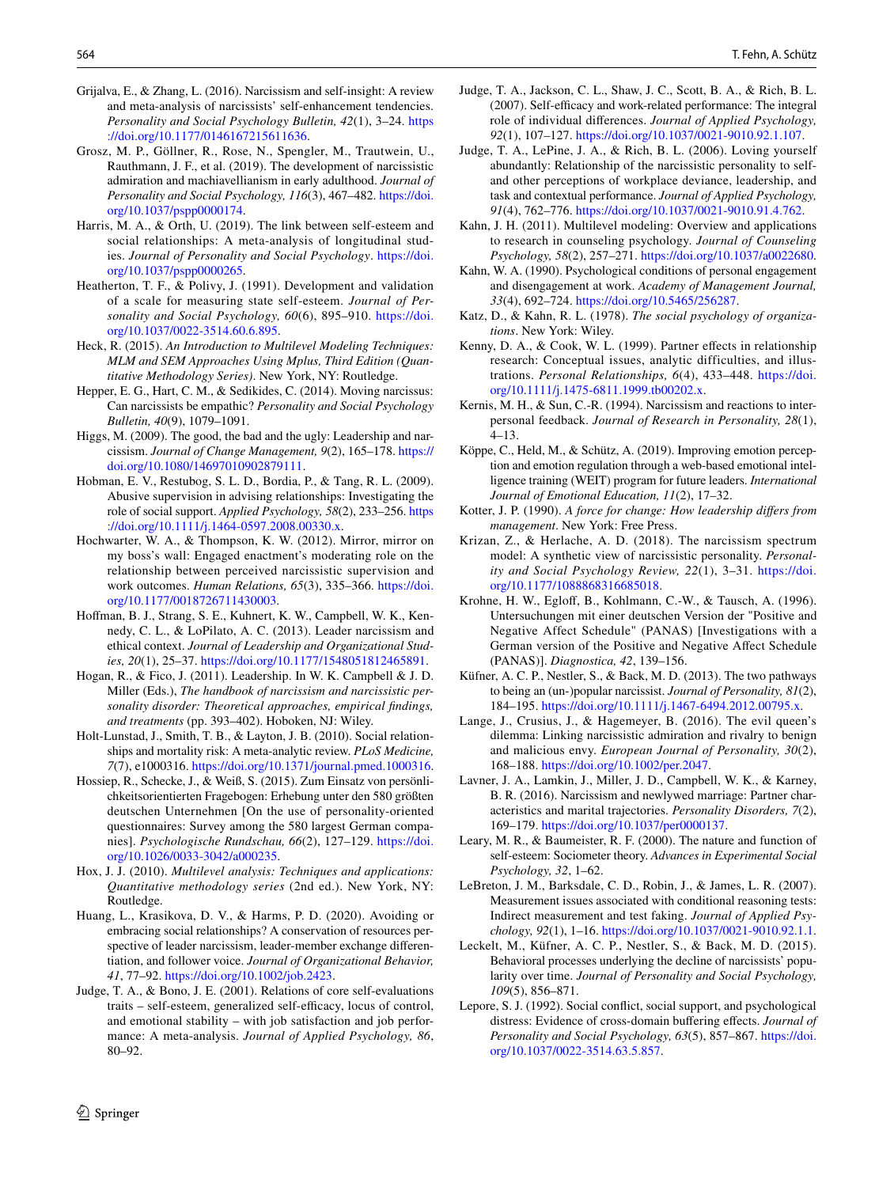- <span id="page-15-29"></span>Grijalva, E., & Zhang, L. (2016). Narcissism and self-insight: A review and meta-analysis of narcissists' self-enhancement tendencies. *Personality and Social Psychology Bulletin, 42*(1), 3–24. [https](https://doi.org/10.1177/0146167215611636) [://doi.org/10.1177/0146167215611636.](https://doi.org/10.1177/0146167215611636)
- <span id="page-15-30"></span>Grosz, M. P., Göllner, R., Rose, N., Spengler, M., Trautwein, U., Rauthmann, J. F., et al. (2019). The development of narcissistic admiration and machiavellianism in early adulthood. *Journal of Personality and Social Psychology, 116*(3), 467–482. [https://doi.](https://doi.org/10.1037/pspp0000174) [org/10.1037/pspp0000174.](https://doi.org/10.1037/pspp0000174)
- <span id="page-15-12"></span>Harris, M. A., & Orth, U. (2019). The link between self-esteem and social relationships: A meta-analysis of longitudinal studies. *Journal of Personality and Social Psychology*. [https://doi.](https://doi.org/10.1037/pspp0000265) [org/10.1037/pspp0000265.](https://doi.org/10.1037/pspp0000265)
- <span id="page-15-15"></span>Heatherton, T. F., & Polivy, J. (1991). Development and validation of a scale for measuring state self-esteem. *Journal of Personality and Social Psychology, 60*(6), 895–910. [https://doi.](https://doi.org/10.1037/0022-3514.60.6.895) [org/10.1037/0022-3514.60.6.895](https://doi.org/10.1037/0022-3514.60.6.895).
- <span id="page-15-19"></span>Heck, R. (2015). *An Introduction to Multilevel Modeling Techniques: MLM and SEM Approaches Using Mplus, Third Edition (Quantitative Methodology Series)*. New York, NY: Routledge.
- <span id="page-15-32"></span>Hepper, E. G., Hart, C. M., & Sedikides, C. (2014). Moving narcissus: Can narcissists be empathic? *Personality and Social Psychology Bulletin, 40*(9), 1079–1091.
- <span id="page-15-5"></span>Higgs, M. (2009). The good, the bad and the ugly: Leadership and narcissism. *Journal of Change Management, 9*(2), 165–178. [https://](https://doi.org/10.1080/14697010902879111) [doi.org/10.1080/14697010902879111.](https://doi.org/10.1080/14697010902879111)
- <span id="page-15-26"></span>Hobman, E. V., Restubog, S. L. D., Bordia, P., & Tang, R. L. (2009). Abusive supervision in advising relationships: Investigating the role of social support. *Applied Psychology, 58*(2), 233–256. [https](https://doi.org/10.1111/j.1464-0597.2008.00330.x) [://doi.org/10.1111/j.1464-0597.2008.00330.x](https://doi.org/10.1111/j.1464-0597.2008.00330.x).
- <span id="page-15-0"></span>Hochwarter, W. A., & Thompson, K. W. (2012). Mirror, mirror on my boss's wall: Engaged enactment's moderating role on the relationship between perceived narcissistic supervision and work outcomes. *Human Relations, 65*(3), 335–366. [https://doi.](https://doi.org/10.1177/0018726711430003) [org/10.1177/0018726711430003](https://doi.org/10.1177/0018726711430003).
- <span id="page-15-20"></span>Hofman, B. J., Strang, S. E., Kuhnert, K. W., Campbell, W. K., Kennedy, C. L., & LoPilato, A. C. (2013). Leader narcissism and ethical context. *Journal of Leadership and Organizational Studies, 20*(1), 25–37. [https://doi.org/10.1177/1548051812465891.](https://doi.org/10.1177/1548051812465891)
- <span id="page-15-2"></span>Hogan, R., & Fico, J. (2011). Leadership. In W. K. Campbell & J. D. Miller (Eds.), *The handbook of narcissism and narcissistic personality disorder: Theoretical approaches, empirical fndings, and treatments* (pp. 393–402). Hoboken, NJ: Wiley.
- <span id="page-15-9"></span>Holt-Lunstad, J., Smith, T. B., & Layton, J. B. (2010). Social relationships and mortality risk: A meta-analytic review. *PLoS Medicine, 7*(7), e1000316.<https://doi.org/10.1371/journal.pmed.1000316>.
- <span id="page-15-27"></span>Hossiep, R., Schecke, J., & Weiß, S. (2015). Zum Einsatz von persönlichkeitsorientierten Fragebogen: Erhebung unter den 580 größten deutschen Unternehmen [On the use of personality-oriented questionnaires: Survey among the 580 largest German companies]. *Psychologische Rundschau, 66*(2), 127–129. [https://doi.](https://doi.org/10.1026/0033-3042/a000235) [org/10.1026/0033-3042/a000235.](https://doi.org/10.1026/0033-3042/a000235)
- <span id="page-15-17"></span>Hox, J. J. (2010). *Multilevel analysis: Techniques and applications: Quantitative methodology series* (2nd ed.). New York, NY: Routledge.
- <span id="page-15-1"></span>Huang, L., Krasikova, D. V., & Harms, P. D. (2020). Avoiding or embracing social relationships? A conservation of resources perspective of leader narcissism, leader-member exchange diferentiation, and follower voice. *Journal of Organizational Behavior, 41*, 77–92. [https://doi.org/10.1002/job.2423.](https://doi.org/10.1002/job.2423)
- <span id="page-15-22"></span>Judge, T. A., & Bono, J. E. (2001). Relations of core self-evaluations traits – self-esteem, generalized self-efficacy, locus of control, and emotional stability – with job satisfaction and job performance: A meta-analysis. *Journal of Applied Psychology, 86*, 80–92.
- <span id="page-15-10"></span>Judge, T. A., Jackson, C. L., Shaw, J. C., Scott, B. A., & Rich, B. L. (2007). Self-efficacy and work-related performance: The integral role of individual diferences. *Journal of Applied Psychology, 92*(1), 107–127. <https://doi.org/10.1037/0021-9010.92.1.107>.
- <span id="page-15-21"></span>Judge, T. A., LePine, J. A., & Rich, B. L. (2006). Loving yourself abundantly: Relationship of the narcissistic personality to selfand other perceptions of workplace deviance, leadership, and task and contextual performance. *Journal of Applied Psychology, 91*(4), 762–776. <https://doi.org/10.1037/0021-9010.91.4.762>.
- <span id="page-15-18"></span>Kahn, J. H. (2011). Multilevel modeling: Overview and applications to research in counseling psychology. *Journal of Counseling Psychology, 58*(2), 257–271.<https://doi.org/10.1037/a0022680>.
- <span id="page-15-14"></span>Kahn, W. A. (1990). Psychological conditions of personal engagement and disengagement at work. *Academy of Management Journal, 33*(4), 692–724. [https://doi.org/10.5465/256287.](https://doi.org/10.5465/256287)
- <span id="page-15-13"></span>Katz, D., & Kahn, R. L. (1978). *The social psychology of organizations*. New York: Wiley.
- <span id="page-15-23"></span>Kenny, D. A., & Cook, W. L. (1999). Partner efects in relationship research: Conceptual issues, analytic difficulties, and illustrations. *Personal Relationships, 6*(4), 433–448. [https://doi.](https://doi.org/10.1111/j.1475-6811.1999.tb00202.x) [org/10.1111/j.1475-6811.1999.tb00202.x.](https://doi.org/10.1111/j.1475-6811.1999.tb00202.x)
- <span id="page-15-31"></span>Kernis, M. H., & Sun, C.-R. (1994). Narcissism and reactions to interpersonal feedback. *Journal of Research in Personality, 28*(1), 4–13.
- <span id="page-15-33"></span>Köppe, C., Held, M., & Schütz, A. (2019). Improving emotion perception and emotion regulation through a web-based emotional intelligence training (WEIT) program for future leaders. *International Journal of Emotional Education, 11*(2), 17–32.
- <span id="page-15-4"></span>Kotter, J. P. (1990). *A force for change: How leadership difers from management*. New York: Free Press.
- <span id="page-15-3"></span>Krizan, Z., & Herlache, A. D. (2018). The narcissism spectrum model: A synthetic view of narcissistic personality. *Personality and Social Psychology Review, 22*(1), 3–31. [https://doi.](https://doi.org/10.1177/1088868316685018) [org/10.1177/1088868316685018](https://doi.org/10.1177/1088868316685018).
- <span id="page-15-16"></span>Krohne, H. W., Eglof, B., Kohlmann, C.-W., & Tausch, A. (1996). Untersuchungen mit einer deutschen Version der "Positive and Negative Affect Schedule" (PANAS) [Investigations with a German version of the Positive and Negative Afect Schedule (PANAS)]. *Diagnostica, 42*, 139–156.
- <span id="page-15-8"></span>Küfner, A. C. P., Nestler, S., & Back, M. D. (2013). The two pathways to being an (un-)popular narcissist. *Journal of Personality, 81*(2), 184–195. <https://doi.org/10.1111/j.1467-6494.2012.00795.x>.
- <span id="page-15-24"></span>Lange, J., Crusius, J., & Hagemeyer, B. (2016). The evil queen's dilemma: Linking narcissistic admiration and rivalry to benign and malicious envy. *European Journal of Personality, 30*(2), 168–188. [https://doi.org/10.1002/per.2047.](https://doi.org/10.1002/per.2047)
- <span id="page-15-6"></span>Lavner, J. A., Lamkin, J., Miller, J. D., Campbell, W. K., & Karney, B. R. (2016). Narcissism and newlywed marriage: Partner characteristics and marital trajectories. *Personality Disorders, 7*(2), 169–179. <https://doi.org/10.1037/per0000137>.
- <span id="page-15-11"></span>Leary, M. R., & Baumeister, R. F. (2000). The nature and function of self-esteem: Sociometer theory. *Advances in Experimental Social Psychology, 32*, 1–62.
- <span id="page-15-28"></span>LeBreton, J. M., Barksdale, C. D., Robin, J., & James, L. R. (2007). Measurement issues associated with conditional reasoning tests: Indirect measurement and test faking. *Journal of Applied Psychology, 92*(1), 1–16.<https://doi.org/10.1037/0021-9010.92.1.1>.
- <span id="page-15-7"></span>Leckelt, M., Küfner, A. C. P., Nestler, S., & Back, M. D. (2015). Behavioral processes underlying the decline of narcissists' popularity over time. *Journal of Personality and Social Psychology, 109*(5), 856–871.
- <span id="page-15-25"></span>Lepore, S. J. (1992). Social confict, social support, and psychological distress: Evidence of cross-domain bufering efects. *Journal of Personality and Social Psychology, 63*(5), 857–867. [https://doi.](https://doi.org/10.1037/0022-3514.63.5.857) [org/10.1037/0022-3514.63.5.857](https://doi.org/10.1037/0022-3514.63.5.857).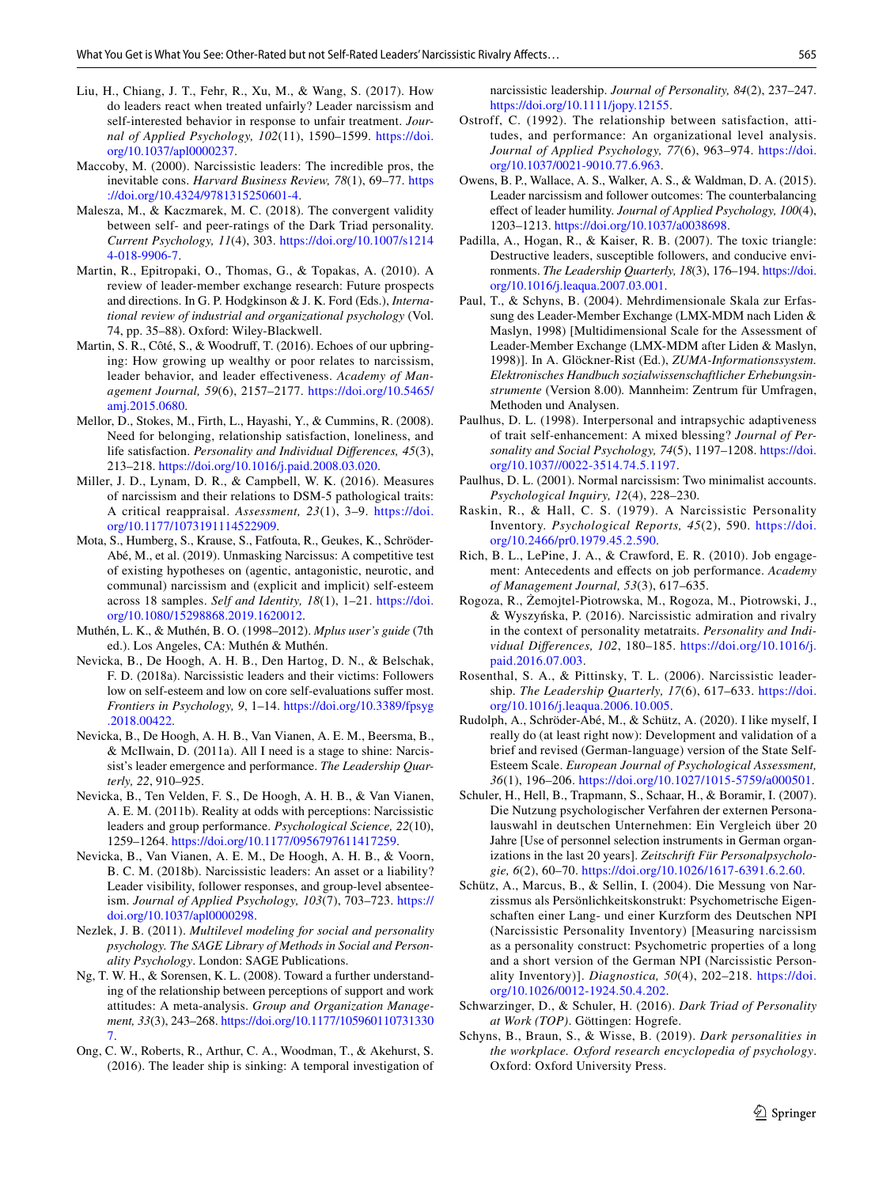- <span id="page-16-5"></span>Liu, H., Chiang, J. T., Fehr, R., Xu, M., & Wang, S. (2017). How do leaders react when treated unfairly? Leader narcissism and self-interested behavior in response to unfair treatment. *Journal of Applied Psychology, 102*(11), 1590–1599. [https://doi.](https://doi.org/10.1037/apl0000237) [org/10.1037/apl0000237](https://doi.org/10.1037/apl0000237).
- <span id="page-16-4"></span>Maccoby, M. (2000). Narcissistic leaders: The incredible pros, the inevitable cons. *Harvard Business Review, 78*(1), 69–77. [https](https://doi.org/10.4324/9781315250601-4) [://doi.org/10.4324/9781315250601-4.](https://doi.org/10.4324/9781315250601-4)
- <span id="page-16-17"></span>Malesza, M., & Kaczmarek, M. C. (2018). The convergent validity between self- and peer-ratings of the Dark Triad personality. *Current Psychology, 11*(4), 303. [https://doi.org/10.1007/s1214](https://doi.org/10.1007/s12144-018-9906-7) [4-018-9906-7.](https://doi.org/10.1007/s12144-018-9906-7)
- <span id="page-16-13"></span>Martin, R., Epitropaki, O., Thomas, G., & Topakas, A. (2010). A review of leader-member exchange research: Future prospects and directions. In G. P. Hodgkinson & J. K. Ford (Eds.), *International review of industrial and organizational psychology* (Vol. 74, pp. 35–88). Oxford: Wiley-Blackwell.
- <span id="page-16-14"></span>Martin, S. R., Côté, S., & Woodruf, T. (2016). Echoes of our upbringing: How growing up wealthy or poor relates to narcissism, leader behavior, and leader efectiveness. *Academy of Management Journal, 59*(6), 2157–2177. [https://doi.org/10.5465/](https://doi.org/10.5465/amj.2015.0680) [amj.2015.0680](https://doi.org/10.5465/amj.2015.0680).
- <span id="page-16-20"></span>Mellor, D., Stokes, M., Firth, L., Hayashi, Y., & Cummins, R. (2008). Need for belonging, relationship satisfaction, loneliness, and life satisfaction. *Personality and Individual Diferences, 45*(3), 213–218. <https://doi.org/10.1016/j.paid.2008.03.020>.
- <span id="page-16-9"></span>Miller, J. D., Lynam, D. R., & Campbell, W. K. (2016). Measures of narcissism and their relations to DSM-5 pathological traits: A critical reappraisal. *Assessment, 23*(1), 3–9. [https://doi.](https://doi.org/10.1177/1073191114522909) [org/10.1177/1073191114522909](https://doi.org/10.1177/1073191114522909).
- <span id="page-16-26"></span>Mota, S., Humberg, S., Krause, S., Fatfouta, R., Geukes, K., Schröder-Abé, M., et al. (2019). Unmasking Narcissus: A competitive test of existing hypotheses on (agentic, antagonistic, neurotic, and communal) narcissism and (explicit and implicit) self-esteem across 18 samples. *Self and Identity, 18*(1), 1–21. [https://doi.](https://doi.org/10.1080/15298868.2019.1620012) [org/10.1080/15298868.2019.1620012](https://doi.org/10.1080/15298868.2019.1620012).
- <span id="page-16-25"></span>Muthén, L. K., & Muthén, B. O. (1998–2012). *Mplus user's guide* (7th ed.). Los Angeles, CA: Muthén & Muthén.
- <span id="page-16-3"></span>Nevicka, B., De Hoogh, A. H. B., Den Hartog, D. N., & Belschak, F. D. (2018a). Narcissistic leaders and their victims: Followers low on self-esteem and low on core self-evaluations sufer most. *Frontiers in Psychology, 9*, 1–14. [https://doi.org/10.3389/fpsyg](https://doi.org/10.3389/fpsyg.2018.00422) [.2018.00422](https://doi.org/10.3389/fpsyg.2018.00422).
- <span id="page-16-10"></span>Nevicka, B., De Hoogh, A. H. B., Van Vianen, A. E. M., Beersma, B., & McIlwain, D. (2011a). All I need is a stage to shine: Narcissist's leader emergence and performance. *The Leadership Quarterly, 22*, 910–925.
- <span id="page-16-12"></span>Nevicka, B., Ten Velden, F. S., De Hoogh, A. H. B., & Van Vianen, A. E. M. (2011b). Reality at odds with perceptions: Narcissistic leaders and group performance. *Psychological Science, 22*(10), 1259–1264.<https://doi.org/10.1177/0956797611417259>.
- <span id="page-16-6"></span>Nevicka, B., Van Vianen, A. E. M., De Hoogh, A. H. B., & Voorn, B. C. M. (2018b). Narcissistic leaders: An asset or a liability? Leader visibility, follower responses, and group-level absenteeism. *Journal of Applied Psychology, 103*(7), 703–723. [https://](https://doi.org/10.1037/apl0000298) [doi.org/10.1037/apl0000298](https://doi.org/10.1037/apl0000298).
- <span id="page-16-24"></span>Nezlek, J. B. (2011). *Multilevel modeling for social and personality psychology. The SAGE Library of Methods in Social and Personality Psychology*. London: SAGE Publications.
- <span id="page-16-18"></span>Ng, T. W. H., & Sorensen, K. L. (2008). Toward a further understanding of the relationship between perceptions of support and work attitudes: A meta-analysis. *Group and Organization Management, 33*(3), 243–268. [https://doi.org/10.1177/105960110731330](https://doi.org/10.1177/1059601107313307) [7.](https://doi.org/10.1177/1059601107313307)
- <span id="page-16-11"></span>Ong, C. W., Roberts, R., Arthur, C. A., Woodman, T., & Akehurst, S. (2016). The leader ship is sinking: A temporal investigation of

narcissistic leadership. *Journal of Personality, 84*(2), 237–247. <https://doi.org/10.1111/jopy.12155>.

- <span id="page-16-19"></span>Ostroff, C. (1992). The relationship between satisfaction, attitudes, and performance: An organizational level analysis. *Journal of Applied Psychology, 77*(6), 963–974. [https://doi.](https://doi.org/10.1037/0021-9010.77.6.963) [org/10.1037/0021-9010.77.6.963](https://doi.org/10.1037/0021-9010.77.6.963).
- <span id="page-16-27"></span>Owens, B. P., Wallace, A. S., Walker, A. S., & Waldman, D. A. (2015). Leader narcissism and follower outcomes: The counterbalancing efect of leader humility. *Journal of Applied Psychology, 100*(4), 1203–1213. [https://doi.org/10.1037/a0038698.](https://doi.org/10.1037/a0038698)
- <span id="page-16-2"></span>Padilla, A., Hogan, R., & Kaiser, R. B. (2007). The toxic triangle: Destructive leaders, susceptible followers, and conducive environments. *The Leadership Quarterly, 18*(3), 176–194. [https://doi.](https://doi.org/10.1016/j.leaqua.2007.03.001) [org/10.1016/j.leaqua.2007.03.001.](https://doi.org/10.1016/j.leaqua.2007.03.001)
- <span id="page-16-22"></span>Paul, T., & Schyns, B. (2004). Mehrdimensionale Skala zur Erfassung des Leader-Member Exchange (LMX-MDM nach Liden & Maslyn, 1998) [Multidimensional Scale for the Assessment of Leader-Member Exchange (LMX-MDM after Liden & Maslyn, 1998)]. In A. Glöckner-Rist (Ed.), *ZUMA-Informationssystem. Elektronisches Handbuch sozialwissenschaftlicher Erhebungsinstrumente* (Version 8.00)*.* Mannheim: Zentrum für Umfragen, Methoden und Analysen.
- <span id="page-16-16"></span>Paulhus, D. L. (1998). Interpersonal and intrapsychic adaptiveness of trait self-enhancement: A mixed blessing? *Journal of Personality and Social Psychology, 74*(5), 1197–1208. [https://doi.](https://doi.org/10.1037//0022-3514.74.5.1197) [org/10.1037//0022-3514.74.5.1197.](https://doi.org/10.1037//0022-3514.74.5.1197)
- <span id="page-16-15"></span>Paulhus, D. L. (2001). Normal narcissism: Two minimalist accounts. *Psychological Inquiry, 12*(4), 228–230.
- <span id="page-16-7"></span>Raskin, R., & Hall, C. S. (1979). A Narcissistic Personality Inventory. *Psychological Reports, 45*(2), 590. [https://doi.](https://doi.org/10.2466/pr0.1979.45.2.590) [org/10.2466/pr0.1979.45.2.590](https://doi.org/10.2466/pr0.1979.45.2.590).
- <span id="page-16-21"></span>Rich, B. L., LePine, J. A., & Crawford, E. R. (2010). Job engagement: Antecedents and efects on job performance. *Academy of Management Journal, 53*(3), 617–635.
- <span id="page-16-30"></span>Rogoza, R., Żemojtel-Piotrowska, M., Rogoza, M., Piotrowski, J., & Wyszyńska, P. (2016). Narcissistic admiration and rivalry in the context of personality metatraits. *Personality and Individual Diferences, 102*, 180–185. [https://doi.org/10.1016/j.](https://doi.org/10.1016/j.paid.2016.07.003) [paid.2016.07.003](https://doi.org/10.1016/j.paid.2016.07.003).
- <span id="page-16-0"></span>Rosenthal, S. A., & Pittinsky, T. L. (2006). Narcissistic leadership. *The Leadership Quarterly, 17*(6), 617–633. [https://doi.](https://doi.org/10.1016/j.leaqua.2006.10.005) [org/10.1016/j.leaqua.2006.10.005.](https://doi.org/10.1016/j.leaqua.2006.10.005)
- <span id="page-16-23"></span>Rudolph, A., Schröder-Abé, M., & Schütz, A. (2020). I like myself, I really do (at least right now): Development and validation of a brief and revised (German-language) version of the State Self-Esteem Scale. *European Journal of Psychological Assessment, 36*(1), 196–206. [https://doi.org/10.1027/1015-5759/a000501.](https://doi.org/10.1027/1015-5759/a000501)
- <span id="page-16-28"></span>Schuler, H., Hell, B., Trapmann, S., Schaar, H., & Boramir, I. (2007). Die Nutzung psychologischer Verfahren der externen Personalauswahl in deutschen Unternehmen: Ein Vergleich über 20 Jahre [Use of personnel selection instruments in German organizations in the last 20 years]. *Zeitschrift Für Personalpsychologie, 6*(2), 60–70. [https://doi.org/10.1026/1617-6391.6.2.60.](https://doi.org/10.1026/1617-6391.6.2.60)
- <span id="page-16-8"></span>Schütz, A., Marcus, B., & Sellin, I. (2004). Die Messung von Narzissmus als Persönlichkeitskonstrukt: Psychometrische Eigenschaften einer Lang- und einer Kurzform des Deutschen NPI (Narcissistic Personality Inventory) [Measuring narcissism as a personality construct: Psychometric properties of a long and a short version of the German NPI (Narcissistic Personality Inventory)]. *Diagnostica, 50*(4), 202–218. [https://doi.](https://doi.org/10.1026/0012-1924.50.4.202) [org/10.1026/0012-1924.50.4.202.](https://doi.org/10.1026/0012-1924.50.4.202)
- <span id="page-16-29"></span>Schwarzinger, D., & Schuler, H. (2016). *Dark Triad of Personality at Work (TOP)*. Göttingen: Hogrefe.
- <span id="page-16-1"></span>Schyns, B., Braun, S., & Wisse, B. (2019). *Dark personalities in the workplace. Oxford research encyclopedia of psychology*. Oxford: Oxford University Press.